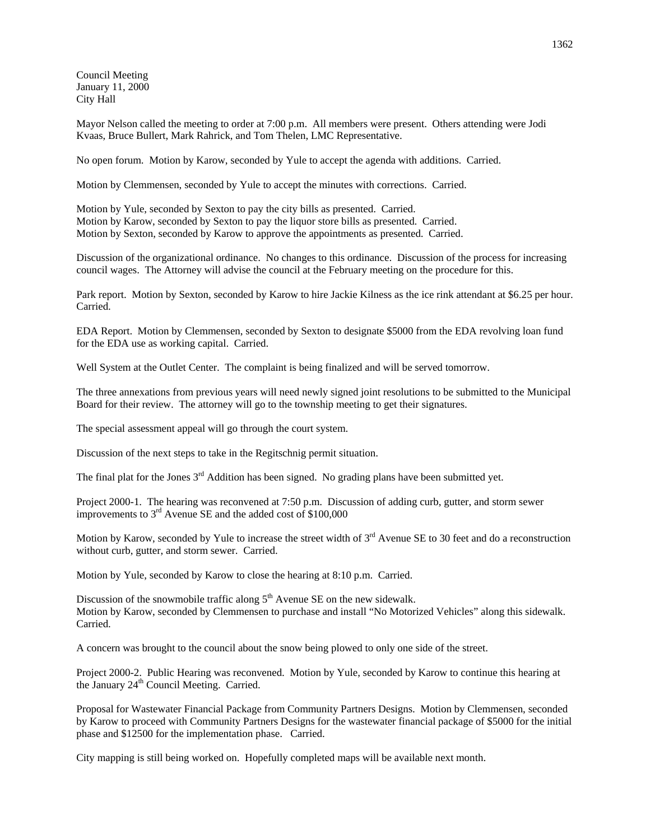Council Meeting January 11, 2000 City Hall

Mayor Nelson called the meeting to order at 7:00 p.m. All members were present. Others attending were Jodi Kvaas, Bruce Bullert, Mark Rahrick, and Tom Thelen, LMC Representative.

No open forum. Motion by Karow, seconded by Yule to accept the agenda with additions. Carried.

Motion by Clemmensen, seconded by Yule to accept the minutes with corrections. Carried.

Motion by Yule, seconded by Sexton to pay the city bills as presented. Carried. Motion by Karow, seconded by Sexton to pay the liquor store bills as presented. Carried. Motion by Sexton, seconded by Karow to approve the appointments as presented. Carried.

Discussion of the organizational ordinance. No changes to this ordinance. Discussion of the process for increasing council wages. The Attorney will advise the council at the February meeting on the procedure for this.

Park report. Motion by Sexton, seconded by Karow to hire Jackie Kilness as the ice rink attendant at \$6.25 per hour. Carried.

EDA Report. Motion by Clemmensen, seconded by Sexton to designate \$5000 from the EDA revolving loan fund for the EDA use as working capital. Carried.

Well System at the Outlet Center. The complaint is being finalized and will be served tomorrow.

The three annexations from previous years will need newly signed joint resolutions to be submitted to the Municipal Board for their review. The attorney will go to the township meeting to get their signatures.

The special assessment appeal will go through the court system.

Discussion of the next steps to take in the Regitschnig permit situation.

The final plat for the Jones 3<sup>rd</sup> Addition has been signed. No grading plans have been submitted yet.

Project 2000-1. The hearing was reconvened at 7:50 p.m. Discussion of adding curb, gutter, and storm sewer improvements to  $3<sup>rd</sup>$  Avenue SE and the added cost of \$100,000

Motion by Karow, seconded by Yule to increase the street width of  $3<sup>rd</sup>$  Avenue SE to 30 feet and do a reconstruction without curb, gutter, and storm sewer. Carried.

Motion by Yule, seconded by Karow to close the hearing at 8:10 p.m. Carried.

Discussion of the snowmobile traffic along  $5<sup>th</sup>$  Avenue SE on the new sidewalk. Motion by Karow, seconded by Clemmensen to purchase and install "No Motorized Vehicles" along this sidewalk. Carried.

A concern was brought to the council about the snow being plowed to only one side of the street.

Project 2000-2. Public Hearing was reconvened. Motion by Yule, seconded by Karow to continue this hearing at the January  $24<sup>th</sup>$  Council Meeting. Carried.

Proposal for Wastewater Financial Package from Community Partners Designs. Motion by Clemmensen, seconded by Karow to proceed with Community Partners Designs for the wastewater financial package of \$5000 for the initial phase and \$12500 for the implementation phase. Carried.

City mapping is still being worked on. Hopefully completed maps will be available next month.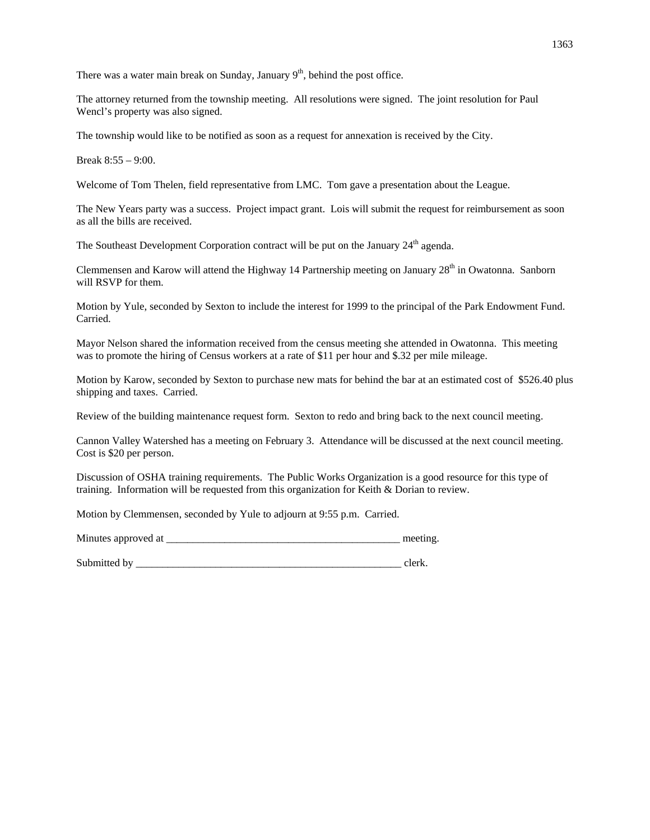There was a water main break on Sunday, January  $9<sup>th</sup>$ , behind the post office.

The attorney returned from the township meeting. All resolutions were signed. The joint resolution for Paul Wencl's property was also signed.

The township would like to be notified as soon as a request for annexation is received by the City.

Break 8:55 – 9:00.

Welcome of Tom Thelen, field representative from LMC. Tom gave a presentation about the League.

The New Years party was a success. Project impact grant. Lois will submit the request for reimbursement as soon as all the bills are received.

The Southeast Development Corporation contract will be put on the January  $24<sup>th</sup>$  agenda.

Clemmensen and Karow will attend the Highway 14 Partnership meeting on January 28<sup>th</sup> in Owatonna. Sanborn will RSVP for them.

Motion by Yule, seconded by Sexton to include the interest for 1999 to the principal of the Park Endowment Fund. Carried.

Mayor Nelson shared the information received from the census meeting she attended in Owatonna. This meeting was to promote the hiring of Census workers at a rate of \$11 per hour and \$.32 per mile mileage.

Motion by Karow, seconded by Sexton to purchase new mats for behind the bar at an estimated cost of \$526.40 plus shipping and taxes. Carried.

Review of the building maintenance request form. Sexton to redo and bring back to the next council meeting.

Cannon Valley Watershed has a meeting on February 3. Attendance will be discussed at the next council meeting. Cost is \$20 per person.

Discussion of OSHA training requirements. The Public Works Organization is a good resource for this type of training. Information will be requested from this organization for Keith & Dorian to review.

Motion by Clemmensen, seconded by Yule to adjourn at 9:55 p.m. Carried.

Minutes approved at \_\_\_\_\_\_\_\_\_\_\_\_\_\_\_\_\_\_\_\_\_\_\_\_\_\_\_\_\_\_\_\_\_\_\_\_\_\_\_\_\_\_\_\_ meeting.

Submitted by \_\_\_\_\_\_\_\_\_\_\_\_\_\_\_\_\_\_\_\_\_\_\_\_\_\_\_\_\_\_\_\_\_\_\_\_\_\_\_\_\_\_\_\_\_\_\_\_\_\_ clerk.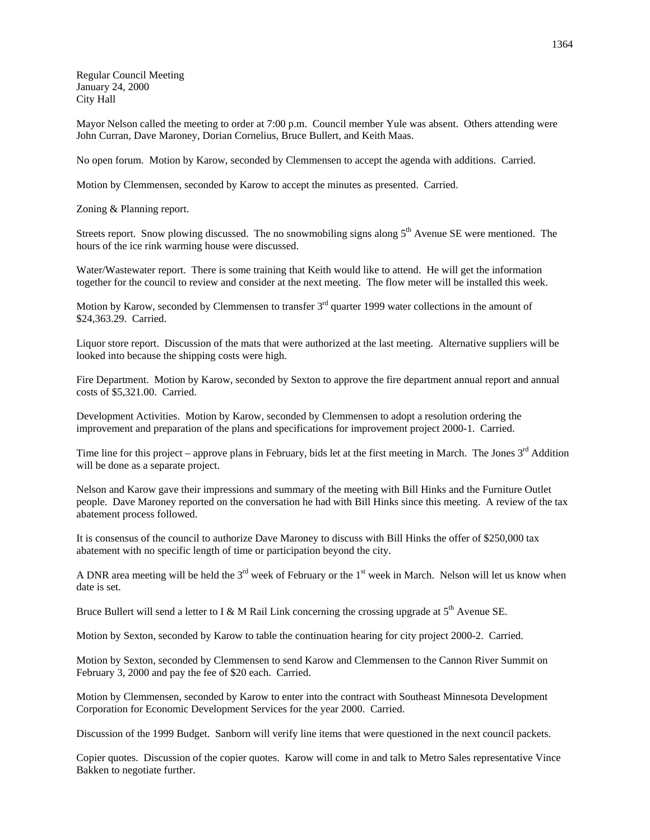Regular Council Meeting January 24, 2000 City Hall

Mayor Nelson called the meeting to order at 7:00 p.m. Council member Yule was absent. Others attending were John Curran, Dave Maroney, Dorian Cornelius, Bruce Bullert, and Keith Maas.

No open forum. Motion by Karow, seconded by Clemmensen to accept the agenda with additions. Carried.

Motion by Clemmensen, seconded by Karow to accept the minutes as presented. Carried.

Zoning & Planning report.

Streets report. Snow plowing discussed. The no snowmobiling signs along 5<sup>th</sup> Avenue SE were mentioned. The hours of the ice rink warming house were discussed.

Water/Wastewater report. There is some training that Keith would like to attend. He will get the information together for the council to review and consider at the next meeting. The flow meter will be installed this week.

Motion by Karow, seconded by Clemmensen to transfer 3<sup>rd</sup> quarter 1999 water collections in the amount of \$24,363.29. Carried.

Liquor store report. Discussion of the mats that were authorized at the last meeting. Alternative suppliers will be looked into because the shipping costs were high.

Fire Department. Motion by Karow, seconded by Sexton to approve the fire department annual report and annual costs of \$5,321.00. Carried.

Development Activities. Motion by Karow, seconded by Clemmensen to adopt a resolution ordering the improvement and preparation of the plans and specifications for improvement project 2000-1. Carried.

Time line for this project – approve plans in February, bids let at the first meeting in March. The Jones  $3^{rd}$  Addition will be done as a separate project.

Nelson and Karow gave their impressions and summary of the meeting with Bill Hinks and the Furniture Outlet people. Dave Maroney reported on the conversation he had with Bill Hinks since this meeting. A review of the tax abatement process followed.

It is consensus of the council to authorize Dave Maroney to discuss with Bill Hinks the offer of \$250,000 tax abatement with no specific length of time or participation beyond the city.

A DNR area meeting will be held the  $3<sup>rd</sup>$  week of February or the  $1<sup>st</sup>$  week in March. Nelson will let us know when date is set.

Bruce Bullert will send a letter to I & M Rail Link concerning the crossing upgrade at  $5<sup>th</sup>$  Avenue SE.

Motion by Sexton, seconded by Karow to table the continuation hearing for city project 2000-2. Carried.

Motion by Sexton, seconded by Clemmensen to send Karow and Clemmensen to the Cannon River Summit on February 3, 2000 and pay the fee of \$20 each. Carried.

Motion by Clemmensen, seconded by Karow to enter into the contract with Southeast Minnesota Development Corporation for Economic Development Services for the year 2000. Carried.

Discussion of the 1999 Budget. Sanborn will verify line items that were questioned in the next council packets.

Copier quotes. Discussion of the copier quotes. Karow will come in and talk to Metro Sales representative Vince Bakken to negotiate further.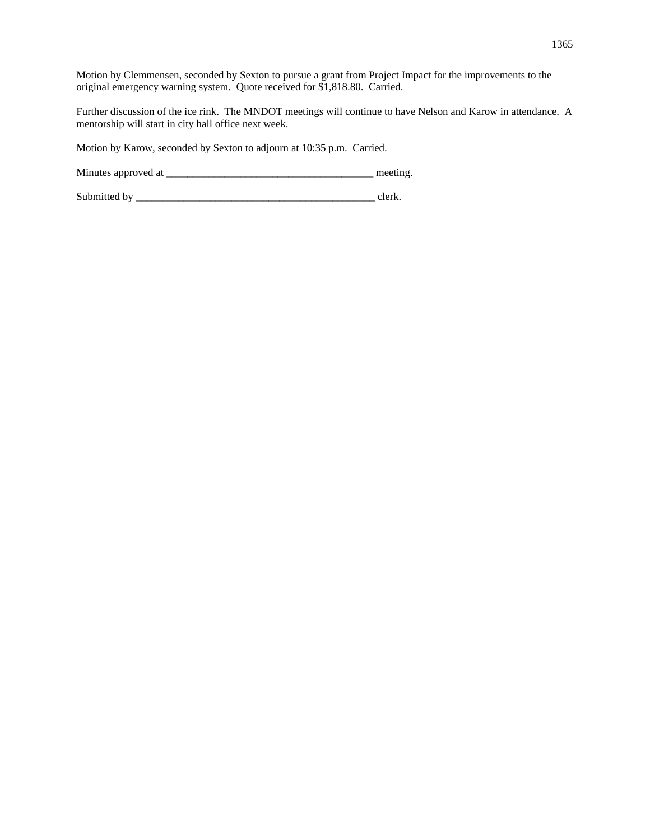Motion by Clemmensen, seconded by Sexton to pursue a grant from Project Impact for the improvements to the original emergency warning system. Quote received for \$1,818.80. Carried.

Further discussion of the ice rink. The MNDOT meetings will continue to have Nelson and Karow in attendance. A mentorship will start in city hall office next week.

Motion by Karow, seconded by Sexton to adjourn at 10:35 p.m. Carried.

Minutes approved at \_\_\_\_\_\_\_\_\_\_\_\_\_\_\_\_\_\_\_\_\_\_\_\_\_\_\_\_\_\_\_\_\_\_\_\_\_\_\_ meeting.

Submitted by \_\_\_\_\_\_\_\_\_\_\_\_\_\_\_\_\_\_\_\_\_\_\_\_\_\_\_\_\_\_\_\_\_\_\_\_\_\_\_\_\_\_\_\_\_ clerk.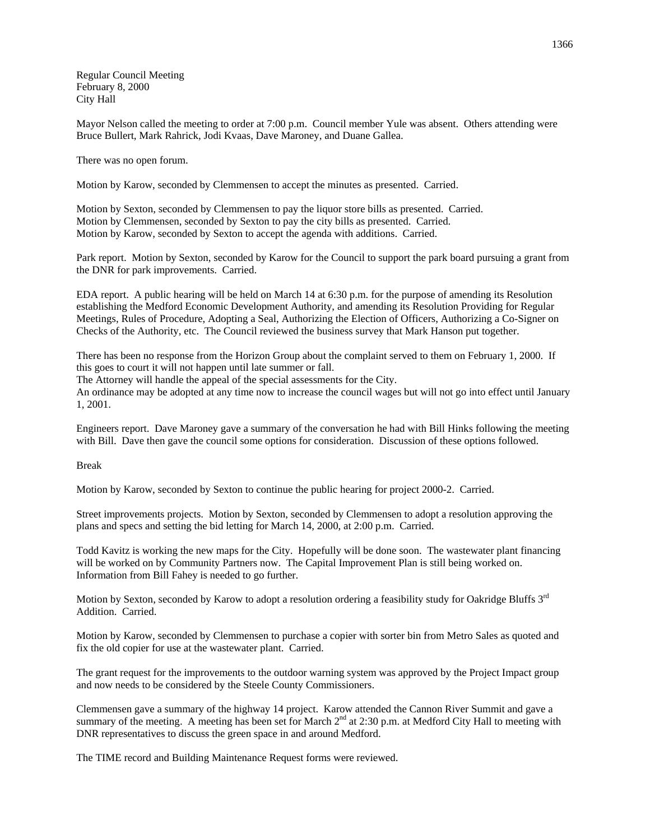Regular Council Meeting February 8, 2000 City Hall

Mayor Nelson called the meeting to order at 7:00 p.m. Council member Yule was absent. Others attending were Bruce Bullert, Mark Rahrick, Jodi Kvaas, Dave Maroney, and Duane Gallea.

There was no open forum.

Motion by Karow, seconded by Clemmensen to accept the minutes as presented. Carried.

Motion by Sexton, seconded by Clemmensen to pay the liquor store bills as presented. Carried. Motion by Clemmensen, seconded by Sexton to pay the city bills as presented. Carried. Motion by Karow, seconded by Sexton to accept the agenda with additions. Carried.

Park report. Motion by Sexton, seconded by Karow for the Council to support the park board pursuing a grant from the DNR for park improvements. Carried.

EDA report. A public hearing will be held on March 14 at 6:30 p.m. for the purpose of amending its Resolution establishing the Medford Economic Development Authority, and amending its Resolution Providing for Regular Meetings, Rules of Procedure, Adopting a Seal, Authorizing the Election of Officers, Authorizing a Co-Signer on Checks of the Authority, etc. The Council reviewed the business survey that Mark Hanson put together.

There has been no response from the Horizon Group about the complaint served to them on February 1, 2000. If this goes to court it will not happen until late summer or fall.

The Attorney will handle the appeal of the special assessments for the City.

An ordinance may be adopted at any time now to increase the council wages but will not go into effect until January 1, 2001.

Engineers report. Dave Maroney gave a summary of the conversation he had with Bill Hinks following the meeting with Bill. Dave then gave the council some options for consideration. Discussion of these options followed.

Break

Motion by Karow, seconded by Sexton to continue the public hearing for project 2000-2. Carried.

Street improvements projects. Motion by Sexton, seconded by Clemmensen to adopt a resolution approving the plans and specs and setting the bid letting for March 14, 2000, at 2:00 p.m. Carried.

Todd Kavitz is working the new maps for the City. Hopefully will be done soon. The wastewater plant financing will be worked on by Community Partners now. The Capital Improvement Plan is still being worked on. Information from Bill Fahey is needed to go further.

Motion by Sexton, seconded by Karow to adopt a resolution ordering a feasibility study for Oakridge Bluffs 3<sup>rd</sup> Addition. Carried.

Motion by Karow, seconded by Clemmensen to purchase a copier with sorter bin from Metro Sales as quoted and fix the old copier for use at the wastewater plant. Carried.

The grant request for the improvements to the outdoor warning system was approved by the Project Impact group and now needs to be considered by the Steele County Commissioners.

Clemmensen gave a summary of the highway 14 project. Karow attended the Cannon River Summit and gave a summary of the meeting. A meeting has been set for March 2<sup>nd</sup> at 2:30 p.m. at Medford City Hall to meeting with DNR representatives to discuss the green space in and around Medford.

The TIME record and Building Maintenance Request forms were reviewed.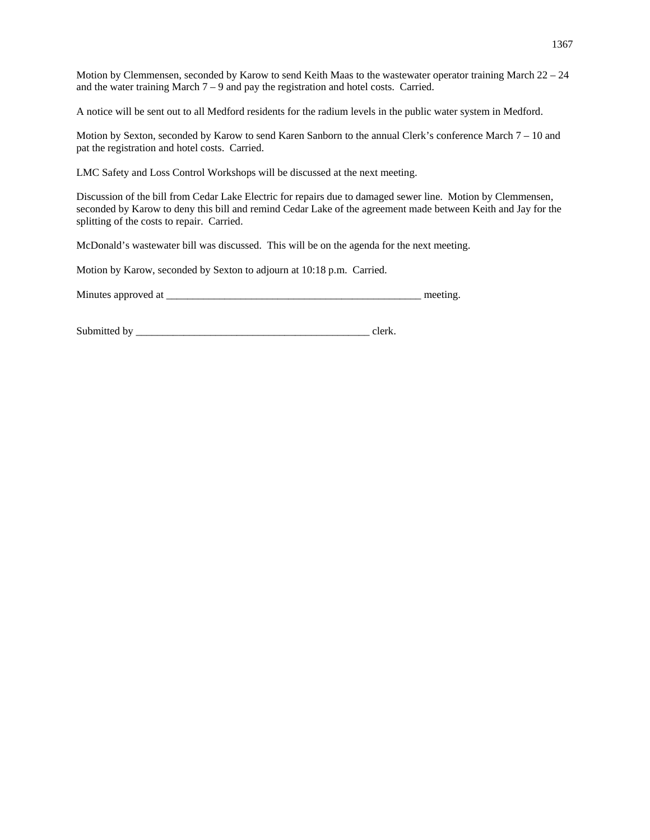Motion by Clemmensen, seconded by Karow to send Keith Maas to the wastewater operator training March 22 – 24 and the water training March  $7 - 9$  and pay the registration and hotel costs. Carried.

A notice will be sent out to all Medford residents for the radium levels in the public water system in Medford.

Motion by Sexton, seconded by Karow to send Karen Sanborn to the annual Clerk's conference March  $7 - 10$  and pat the registration and hotel costs. Carried.

LMC Safety and Loss Control Workshops will be discussed at the next meeting.

Discussion of the bill from Cedar Lake Electric for repairs due to damaged sewer line. Motion by Clemmensen, seconded by Karow to deny this bill and remind Cedar Lake of the agreement made between Keith and Jay for the splitting of the costs to repair. Carried.

McDonald's wastewater bill was discussed. This will be on the agenda for the next meeting.

Motion by Karow, seconded by Sexton to adjourn at 10:18 p.m. Carried.

Minutes approved at \_\_\_\_\_\_\_\_\_\_\_\_\_\_\_\_\_\_\_\_\_\_\_\_\_\_\_\_\_\_\_\_\_\_\_\_\_\_\_\_\_\_\_\_\_\_\_\_ meeting.

Submitted by \_\_\_\_\_\_\_\_\_\_\_\_\_\_\_\_\_\_\_\_\_\_\_\_\_\_\_\_\_\_\_\_\_\_\_\_\_\_\_\_\_\_\_\_ clerk.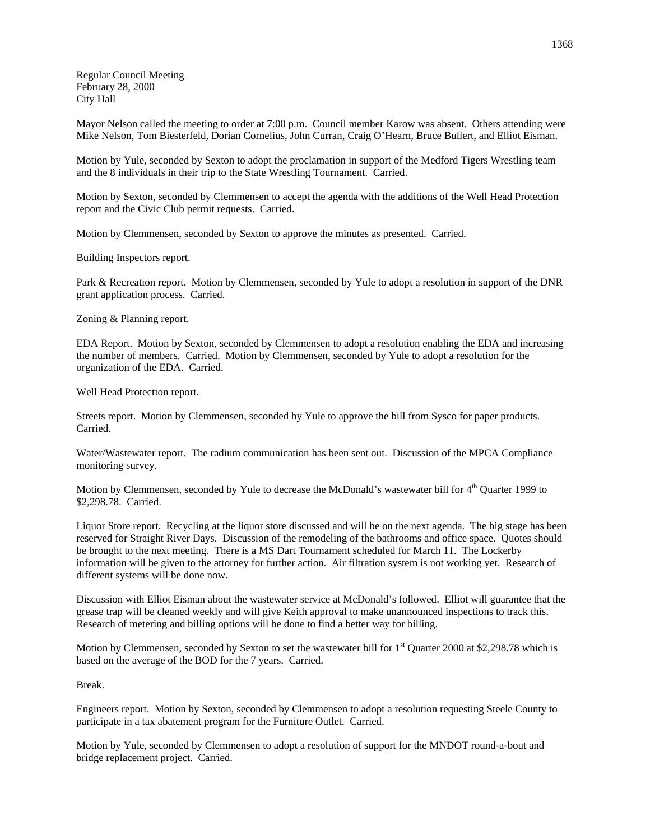Regular Council Meeting February 28, 2000 City Hall

Mayor Nelson called the meeting to order at 7:00 p.m. Council member Karow was absent. Others attending were Mike Nelson, Tom Biesterfeld, Dorian Cornelius, John Curran, Craig O'Hearn, Bruce Bullert, and Elliot Eisman.

Motion by Yule, seconded by Sexton to adopt the proclamation in support of the Medford Tigers Wrestling team and the 8 individuals in their trip to the State Wrestling Tournament. Carried.

Motion by Sexton, seconded by Clemmensen to accept the agenda with the additions of the Well Head Protection report and the Civic Club permit requests. Carried.

Motion by Clemmensen, seconded by Sexton to approve the minutes as presented. Carried.

Building Inspectors report.

Park & Recreation report. Motion by Clemmensen, seconded by Yule to adopt a resolution in support of the DNR grant application process. Carried.

Zoning & Planning report.

EDA Report. Motion by Sexton, seconded by Clemmensen to adopt a resolution enabling the EDA and increasing the number of members. Carried. Motion by Clemmensen, seconded by Yule to adopt a resolution for the organization of the EDA. Carried.

Well Head Protection report.

Streets report. Motion by Clemmensen, seconded by Yule to approve the bill from Sysco for paper products. Carried.

Water/Wastewater report. The radium communication has been sent out. Discussion of the MPCA Compliance monitoring survey.

Motion by Clemmensen, seconded by Yule to decrease the McDonald's wastewater bill for 4<sup>th</sup> Quarter 1999 to \$2,298.78. Carried.

Liquor Store report. Recycling at the liquor store discussed and will be on the next agenda. The big stage has been reserved for Straight River Days. Discussion of the remodeling of the bathrooms and office space. Quotes should be brought to the next meeting. There is a MS Dart Tournament scheduled for March 11. The Lockerby information will be given to the attorney for further action. Air filtration system is not working yet. Research of different systems will be done now.

Discussion with Elliot Eisman about the wastewater service at McDonald's followed. Elliot will guarantee that the grease trap will be cleaned weekly and will give Keith approval to make unannounced inspections to track this. Research of metering and billing options will be done to find a better way for billing.

Motion by Clemmensen, seconded by Sexton to set the wastewater bill for  $1<sup>st</sup>$  Quarter 2000 at \$2,298.78 which is based on the average of the BOD for the 7 years. Carried.

Break.

Engineers report. Motion by Sexton, seconded by Clemmensen to adopt a resolution requesting Steele County to participate in a tax abatement program for the Furniture Outlet. Carried.

Motion by Yule, seconded by Clemmensen to adopt a resolution of support for the MNDOT round-a-bout and bridge replacement project. Carried.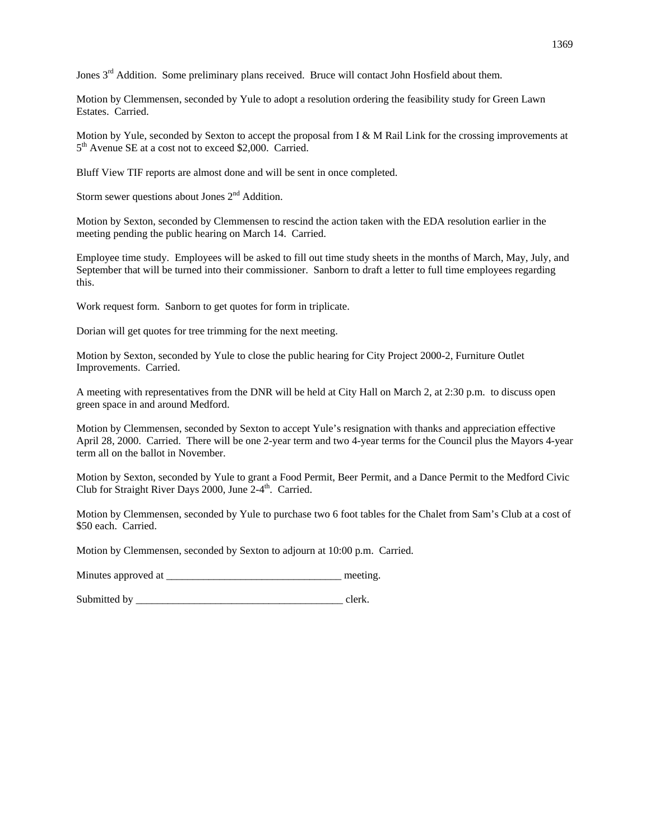Jones  $3<sup>rd</sup>$  Addition. Some preliminary plans received. Bruce will contact John Hosfield about them.

Motion by Clemmensen, seconded by Yule to adopt a resolution ordering the feasibility study for Green Lawn Estates. Carried.

Motion by Yule, seconded by Sexton to accept the proposal from I & M Rail Link for the crossing improvements at 5th Avenue SE at a cost not to exceed \$2,000. Carried.

Bluff View TIF reports are almost done and will be sent in once completed.

Storm sewer questions about Jones  $2<sup>nd</sup>$  Addition.

Motion by Sexton, seconded by Clemmensen to rescind the action taken with the EDA resolution earlier in the meeting pending the public hearing on March 14. Carried.

Employee time study. Employees will be asked to fill out time study sheets in the months of March, May, July, and September that will be turned into their commissioner. Sanborn to draft a letter to full time employees regarding this.

Work request form. Sanborn to get quotes for form in triplicate.

Dorian will get quotes for tree trimming for the next meeting.

Motion by Sexton, seconded by Yule to close the public hearing for City Project 2000-2, Furniture Outlet Improvements. Carried.

A meeting with representatives from the DNR will be held at City Hall on March 2, at 2:30 p.m. to discuss open green space in and around Medford.

Motion by Clemmensen, seconded by Sexton to accept Yule's resignation with thanks and appreciation effective April 28, 2000. Carried. There will be one 2-year term and two 4-year terms for the Council plus the Mayors 4-year term all on the ballot in November.

Motion by Sexton, seconded by Yule to grant a Food Permit, Beer Permit, and a Dance Permit to the Medford Civic Club for Straight River Days  $2000$ , June  $2-4$ <sup>th</sup>. Carried.

Motion by Clemmensen, seconded by Yule to purchase two 6 foot tables for the Chalet from Sam's Club at a cost of \$50 each. Carried.

Motion by Clemmensen, seconded by Sexton to adjourn at 10:00 p.m. Carried.

Minutes approved at \_\_\_\_\_\_\_\_\_\_\_\_\_\_\_\_\_\_\_\_\_\_\_\_\_\_\_\_\_\_\_\_\_ meeting.

Submitted by \_\_\_\_\_\_\_\_\_\_\_\_\_\_\_\_\_\_\_\_\_\_\_\_\_\_\_\_\_\_\_\_\_\_\_\_\_\_\_ clerk.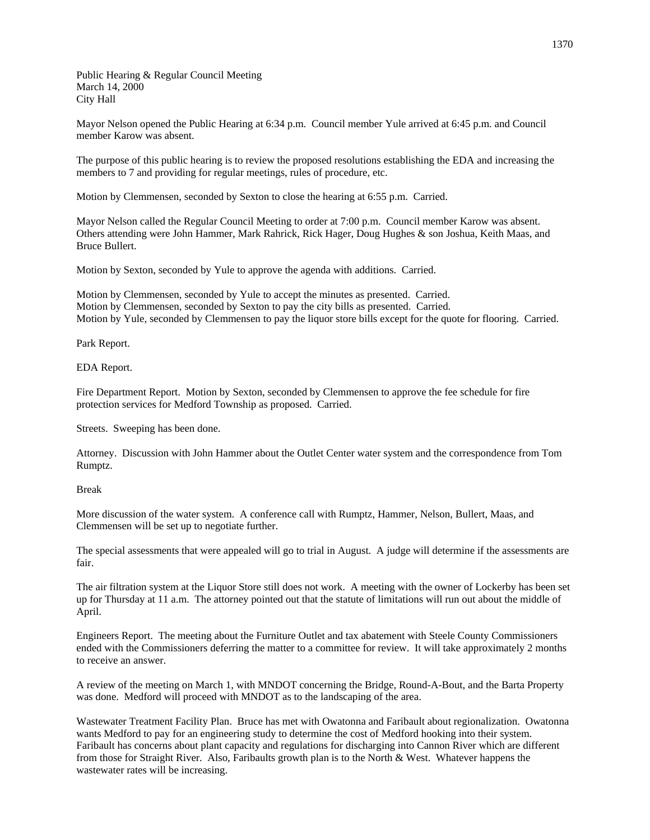Public Hearing & Regular Council Meeting March 14, 2000 City Hall

Mayor Nelson opened the Public Hearing at 6:34 p.m. Council member Yule arrived at 6:45 p.m. and Council member Karow was absent.

The purpose of this public hearing is to review the proposed resolutions establishing the EDA and increasing the members to 7 and providing for regular meetings, rules of procedure, etc.

Motion by Clemmensen, seconded by Sexton to close the hearing at 6:55 p.m. Carried.

Mayor Nelson called the Regular Council Meeting to order at 7:00 p.m. Council member Karow was absent. Others attending were John Hammer, Mark Rahrick, Rick Hager, Doug Hughes & son Joshua, Keith Maas, and Bruce Bullert.

Motion by Sexton, seconded by Yule to approve the agenda with additions. Carried.

Motion by Clemmensen, seconded by Yule to accept the minutes as presented. Carried. Motion by Clemmensen, seconded by Sexton to pay the city bills as presented. Carried. Motion by Yule, seconded by Clemmensen to pay the liquor store bills except for the quote for flooring. Carried.

Park Report.

EDA Report.

Fire Department Report. Motion by Sexton, seconded by Clemmensen to approve the fee schedule for fire protection services for Medford Township as proposed. Carried.

Streets. Sweeping has been done.

Attorney. Discussion with John Hammer about the Outlet Center water system and the correspondence from Tom Rumptz.

Break

More discussion of the water system. A conference call with Rumptz, Hammer, Nelson, Bullert, Maas, and Clemmensen will be set up to negotiate further.

The special assessments that were appealed will go to trial in August. A judge will determine if the assessments are fair.

The air filtration system at the Liquor Store still does not work. A meeting with the owner of Lockerby has been set up for Thursday at 11 a.m. The attorney pointed out that the statute of limitations will run out about the middle of April.

Engineers Report. The meeting about the Furniture Outlet and tax abatement with Steele County Commissioners ended with the Commissioners deferring the matter to a committee for review. It will take approximately 2 months to receive an answer.

A review of the meeting on March 1, with MNDOT concerning the Bridge, Round-A-Bout, and the Barta Property was done. Medford will proceed with MNDOT as to the landscaping of the area.

Wastewater Treatment Facility Plan. Bruce has met with Owatonna and Faribault about regionalization. Owatonna wants Medford to pay for an engineering study to determine the cost of Medford hooking into their system. Faribault has concerns about plant capacity and regulations for discharging into Cannon River which are different from those for Straight River. Also, Faribaults growth plan is to the North & West. Whatever happens the wastewater rates will be increasing.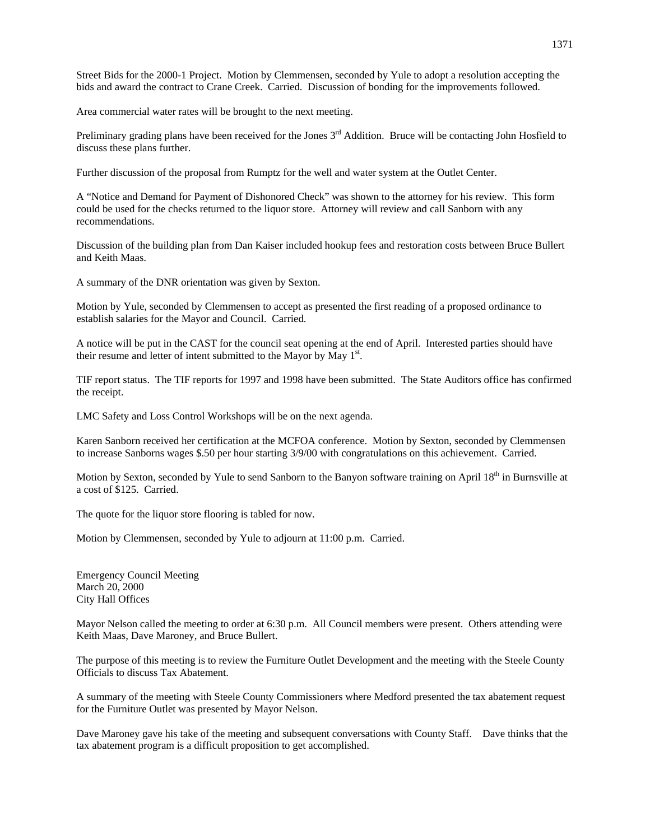Street Bids for the 2000-1 Project. Motion by Clemmensen, seconded by Yule to adopt a resolution accepting the bids and award the contract to Crane Creek. Carried. Discussion of bonding for the improvements followed.

Area commercial water rates will be brought to the next meeting.

Preliminary grading plans have been received for the Jones  $3<sup>rd</sup>$  Addition. Bruce will be contacting John Hosfield to discuss these plans further.

Further discussion of the proposal from Rumptz for the well and water system at the Outlet Center.

A "Notice and Demand for Payment of Dishonored Check" was shown to the attorney for his review. This form could be used for the checks returned to the liquor store. Attorney will review and call Sanborn with any recommendations.

Discussion of the building plan from Dan Kaiser included hookup fees and restoration costs between Bruce Bullert and Keith Maas.

A summary of the DNR orientation was given by Sexton.

Motion by Yule, seconded by Clemmensen to accept as presented the first reading of a proposed ordinance to establish salaries for the Mayor and Council. Carried.

A notice will be put in the CAST for the council seat opening at the end of April. Interested parties should have their resume and letter of intent submitted to the Mayor by May  $1<sup>st</sup>$ .

TIF report status. The TIF reports for 1997 and 1998 have been submitted. The State Auditors office has confirmed the receipt.

LMC Safety and Loss Control Workshops will be on the next agenda.

Karen Sanborn received her certification at the MCFOA conference. Motion by Sexton, seconded by Clemmensen to increase Sanborns wages \$.50 per hour starting 3/9/00 with congratulations on this achievement. Carried.

Motion by Sexton, seconded by Yule to send Sanborn to the Banyon software training on April 18<sup>th</sup> in Burnsville at a cost of \$125. Carried.

The quote for the liquor store flooring is tabled for now.

Motion by Clemmensen, seconded by Yule to adjourn at 11:00 p.m. Carried.

Emergency Council Meeting March 20, 2000 City Hall Offices

Mayor Nelson called the meeting to order at 6:30 p.m. All Council members were present. Others attending were Keith Maas, Dave Maroney, and Bruce Bullert.

The purpose of this meeting is to review the Furniture Outlet Development and the meeting with the Steele County Officials to discuss Tax Abatement.

A summary of the meeting with Steele County Commissioners where Medford presented the tax abatement request for the Furniture Outlet was presented by Mayor Nelson.

Dave Maroney gave his take of the meeting and subsequent conversations with County Staff. Dave thinks that the tax abatement program is a difficult proposition to get accomplished.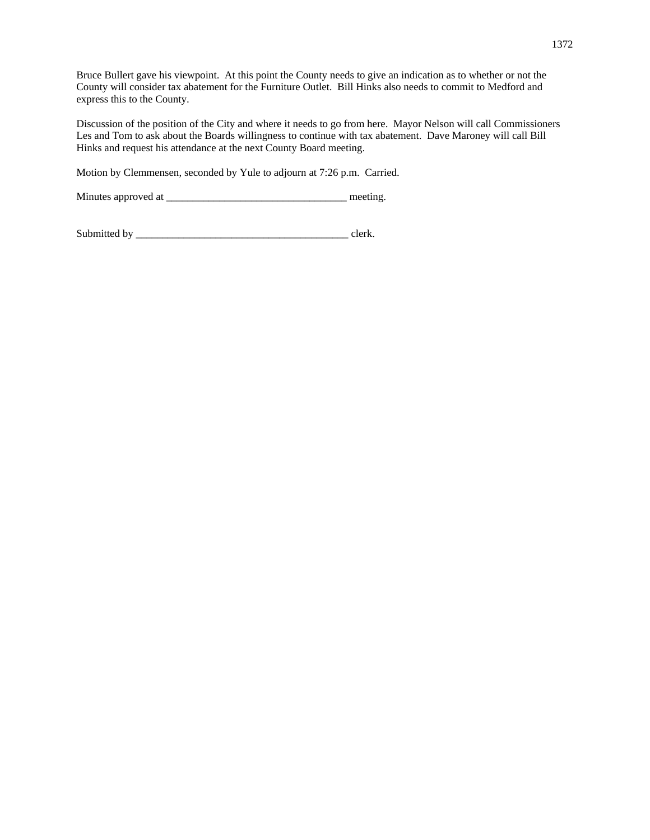Bruce Bullert gave his viewpoint. At this point the County needs to give an indication as to whether or not the County will consider tax abatement for the Furniture Outlet. Bill Hinks also needs to commit to Medford and express this to the County.

Discussion of the position of the City and where it needs to go from here. Mayor Nelson will call Commissioners Les and Tom to ask about the Boards willingness to continue with tax abatement. Dave Maroney will call Bill Hinks and request his attendance at the next County Board meeting.

Motion by Clemmensen, seconded by Yule to adjourn at 7:26 p.m. Carried.

Minutes approved at \_\_\_\_\_\_\_\_\_\_\_\_\_\_\_\_\_\_\_\_\_\_\_\_\_\_\_\_\_\_\_\_\_\_ meeting.

Submitted by \_\_\_\_\_\_\_\_\_\_\_\_\_\_\_\_\_\_\_\_\_\_\_\_\_\_\_\_\_\_\_\_\_\_\_\_\_\_\_\_ clerk.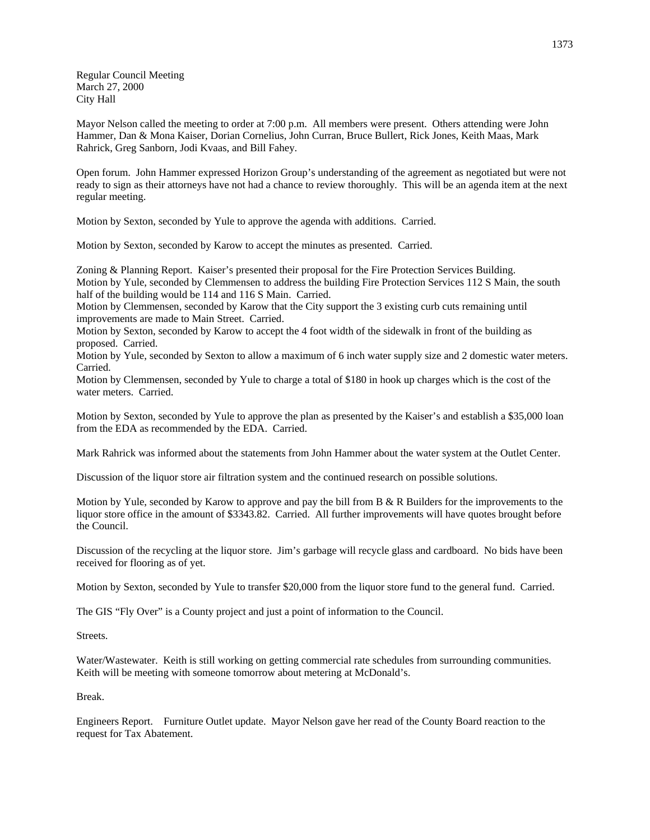Regular Council Meeting March 27, 2000 City Hall

Mayor Nelson called the meeting to order at 7:00 p.m. All members were present. Others attending were John Hammer, Dan & Mona Kaiser, Dorian Cornelius, John Curran, Bruce Bullert, Rick Jones, Keith Maas, Mark Rahrick, Greg Sanborn, Jodi Kvaas, and Bill Fahey.

Open forum. John Hammer expressed Horizon Group's understanding of the agreement as negotiated but were not ready to sign as their attorneys have not had a chance to review thoroughly. This will be an agenda item at the next regular meeting.

Motion by Sexton, seconded by Yule to approve the agenda with additions. Carried.

Motion by Sexton, seconded by Karow to accept the minutes as presented. Carried.

Zoning & Planning Report. Kaiser's presented their proposal for the Fire Protection Services Building. Motion by Yule, seconded by Clemmensen to address the building Fire Protection Services 112 S Main, the south half of the building would be 114 and 116 S Main. Carried.

Motion by Clemmensen, seconded by Karow that the City support the 3 existing curb cuts remaining until improvements are made to Main Street. Carried.

Motion by Sexton, seconded by Karow to accept the 4 foot width of the sidewalk in front of the building as proposed. Carried.

Motion by Yule, seconded by Sexton to allow a maximum of 6 inch water supply size and 2 domestic water meters. Carried.

Motion by Clemmensen, seconded by Yule to charge a total of \$180 in hook up charges which is the cost of the water meters. Carried.

Motion by Sexton, seconded by Yule to approve the plan as presented by the Kaiser's and establish a \$35,000 loan from the EDA as recommended by the EDA. Carried.

Mark Rahrick was informed about the statements from John Hammer about the water system at the Outlet Center.

Discussion of the liquor store air filtration system and the continued research on possible solutions.

Motion by Yule, seconded by Karow to approve and pay the bill from B & R Builders for the improvements to the liquor store office in the amount of \$3343.82. Carried. All further improvements will have quotes brought before the Council.

Discussion of the recycling at the liquor store. Jim's garbage will recycle glass and cardboard. No bids have been received for flooring as of yet.

Motion by Sexton, seconded by Yule to transfer \$20,000 from the liquor store fund to the general fund. Carried.

The GIS "Fly Over" is a County project and just a point of information to the Council.

Streets.

Water/Wastewater. Keith is still working on getting commercial rate schedules from surrounding communities. Keith will be meeting with someone tomorrow about metering at McDonald's.

Break.

Engineers Report. Furniture Outlet update. Mayor Nelson gave her read of the County Board reaction to the request for Tax Abatement.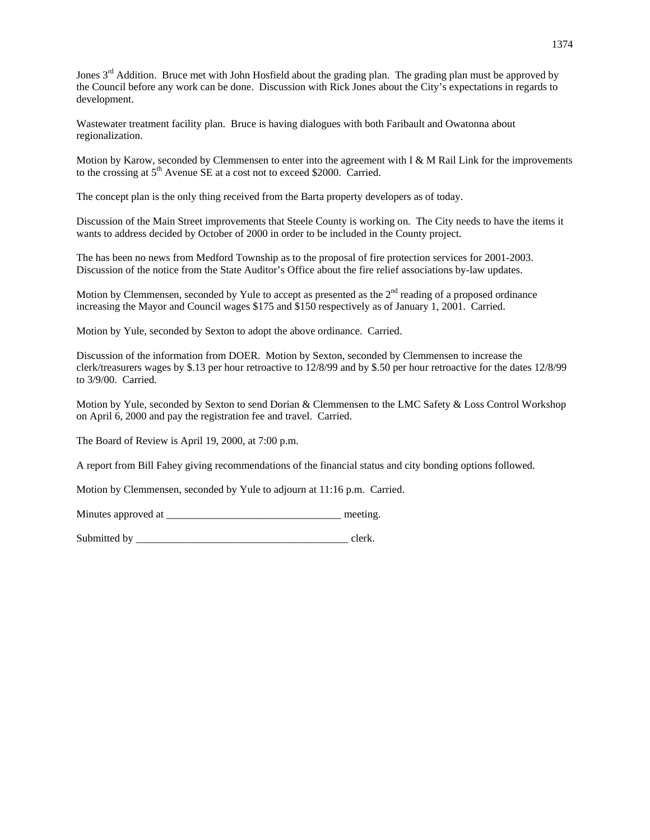Jones  $3<sup>rd</sup>$  Addition. Bruce met with John Hosfield about the grading plan. The grading plan must be approved by the Council before any work can be done. Discussion with Rick Jones about the City's expectations in regards to development.

Wastewater treatment facility plan. Bruce is having dialogues with both Faribault and Owatonna about regionalization.

Motion by Karow, seconded by Clemmensen to enter into the agreement with I  $\&$  M Rail Link for the improvements to the crossing at  $5<sup>th</sup>$  Avenue SE at a cost not to exceed \$2000. Carried.

The concept plan is the only thing received from the Barta property developers as of today.

Discussion of the Main Street improvements that Steele County is working on. The City needs to have the items it wants to address decided by October of 2000 in order to be included in the County project.

The has been no news from Medford Township as to the proposal of fire protection services for 2001-2003. Discussion of the notice from the State Auditor's Office about the fire relief associations by-law updates.

Motion by Clemmensen, seconded by Yule to accept as presented as the 2<sup>nd</sup> reading of a proposed ordinance increasing the Mayor and Council wages \$175 and \$150 respectively as of January 1, 2001. Carried.

Motion by Yule, seconded by Sexton to adopt the above ordinance. Carried.

Discussion of the information from DOER. Motion by Sexton, seconded by Clemmensen to increase the clerk/treasurers wages by \$.13 per hour retroactive to 12/8/99 and by \$.50 per hour retroactive for the dates 12/8/99 to 3/9/00. Carried.

Motion by Yule, seconded by Sexton to send Dorian & Clemmensen to the LMC Safety & Loss Control Workshop on April 6, 2000 and pay the registration fee and travel. Carried.

The Board of Review is April 19, 2000, at 7:00 p.m.

A report from Bill Fahey giving recommendations of the financial status and city bonding options followed.

Motion by Clemmensen, seconded by Yule to adjourn at 11:16 p.m. Carried.

Minutes approved at \_\_\_\_\_\_\_\_\_\_\_\_\_\_\_\_\_\_\_\_\_\_\_\_\_\_\_\_\_\_\_\_\_ meeting.

Submitted by  $\Box$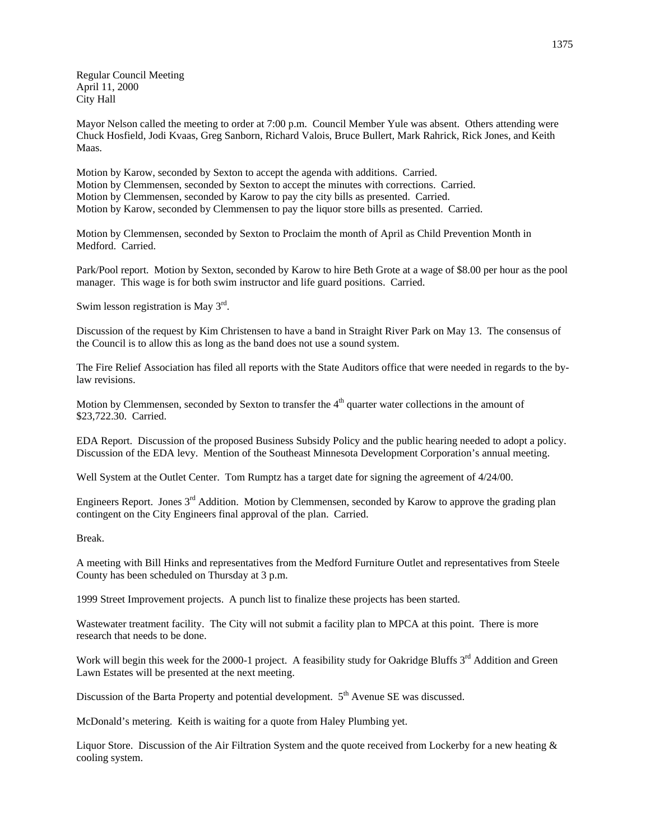Regular Council Meeting April 11, 2000 City Hall

Mayor Nelson called the meeting to order at 7:00 p.m. Council Member Yule was absent. Others attending were Chuck Hosfield, Jodi Kvaas, Greg Sanborn, Richard Valois, Bruce Bullert, Mark Rahrick, Rick Jones, and Keith Maas.

Motion by Karow, seconded by Sexton to accept the agenda with additions. Carried. Motion by Clemmensen, seconded by Sexton to accept the minutes with corrections. Carried. Motion by Clemmensen, seconded by Karow to pay the city bills as presented. Carried. Motion by Karow, seconded by Clemmensen to pay the liquor store bills as presented. Carried.

Motion by Clemmensen, seconded by Sexton to Proclaim the month of April as Child Prevention Month in Medford. Carried.

Park/Pool report. Motion by Sexton, seconded by Karow to hire Beth Grote at a wage of \$8.00 per hour as the pool manager. This wage is for both swim instructor and life guard positions. Carried.

Swim lesson registration is May 3rd.

Discussion of the request by Kim Christensen to have a band in Straight River Park on May 13. The consensus of the Council is to allow this as long as the band does not use a sound system.

The Fire Relief Association has filed all reports with the State Auditors office that were needed in regards to the bylaw revisions.

Motion by Clemmensen, seconded by Sexton to transfer the 4<sup>th</sup> quarter water collections in the amount of \$23,722.30. Carried.

EDA Report. Discussion of the proposed Business Subsidy Policy and the public hearing needed to adopt a policy. Discussion of the EDA levy. Mention of the Southeast Minnesota Development Corporation's annual meeting.

Well System at the Outlet Center. Tom Rumptz has a target date for signing the agreement of  $4/24/00$ .

Engineers Report. Jones 3<sup>rd</sup> Addition. Motion by Clemmensen, seconded by Karow to approve the grading plan contingent on the City Engineers final approval of the plan. Carried.

Break.

A meeting with Bill Hinks and representatives from the Medford Furniture Outlet and representatives from Steele County has been scheduled on Thursday at 3 p.m.

1999 Street Improvement projects. A punch list to finalize these projects has been started.

Wastewater treatment facility. The City will not submit a facility plan to MPCA at this point. There is more research that needs to be done.

Work will begin this week for the 2000-1 project. A feasibility study for Oakridge Bluffs 3<sup>rd</sup> Addition and Green Lawn Estates will be presented at the next meeting.

Discussion of the Barta Property and potential development. 5<sup>th</sup> Avenue SE was discussed.

McDonald's metering. Keith is waiting for a quote from Haley Plumbing yet.

Liquor Store. Discussion of the Air Filtration System and the quote received from Lockerby for a new heating & cooling system.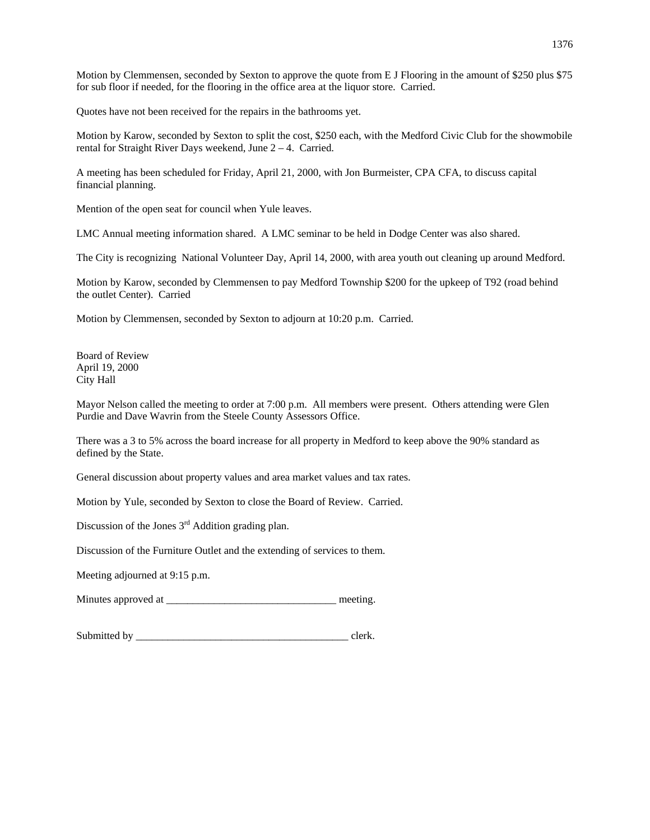Motion by Clemmensen, seconded by Sexton to approve the quote from E J Flooring in the amount of \$250 plus \$75 for sub floor if needed, for the flooring in the office area at the liquor store. Carried.

Quotes have not been received for the repairs in the bathrooms yet.

Motion by Karow, seconded by Sexton to split the cost, \$250 each, with the Medford Civic Club for the showmobile rental for Straight River Days weekend, June 2 – 4. Carried.

A meeting has been scheduled for Friday, April 21, 2000, with Jon Burmeister, CPA CFA, to discuss capital financial planning.

Mention of the open seat for council when Yule leaves.

LMC Annual meeting information shared. A LMC seminar to be held in Dodge Center was also shared.

The City is recognizing National Volunteer Day, April 14, 2000, with area youth out cleaning up around Medford.

Motion by Karow, seconded by Clemmensen to pay Medford Township \$200 for the upkeep of T92 (road behind the outlet Center). Carried

Motion by Clemmensen, seconded by Sexton to adjourn at 10:20 p.m. Carried.

Board of Review April 19, 2000 City Hall

Mayor Nelson called the meeting to order at 7:00 p.m. All members were present. Others attending were Glen Purdie and Dave Wavrin from the Steele County Assessors Office.

There was a 3 to 5% across the board increase for all property in Medford to keep above the 90% standard as defined by the State.

General discussion about property values and area market values and tax rates.

Motion by Yule, seconded by Sexton to close the Board of Review. Carried.

Discussion of the Jones  $3<sup>rd</sup>$  Addition grading plan.

Discussion of the Furniture Outlet and the extending of services to them.

Meeting adjourned at 9:15 p.m.

Minutes approved at  $\blacksquare$ 

Submitted by \_\_\_\_\_\_\_\_\_\_\_\_\_\_\_\_\_\_\_\_\_\_\_\_\_\_\_\_\_\_\_\_\_\_\_\_\_\_\_\_ clerk.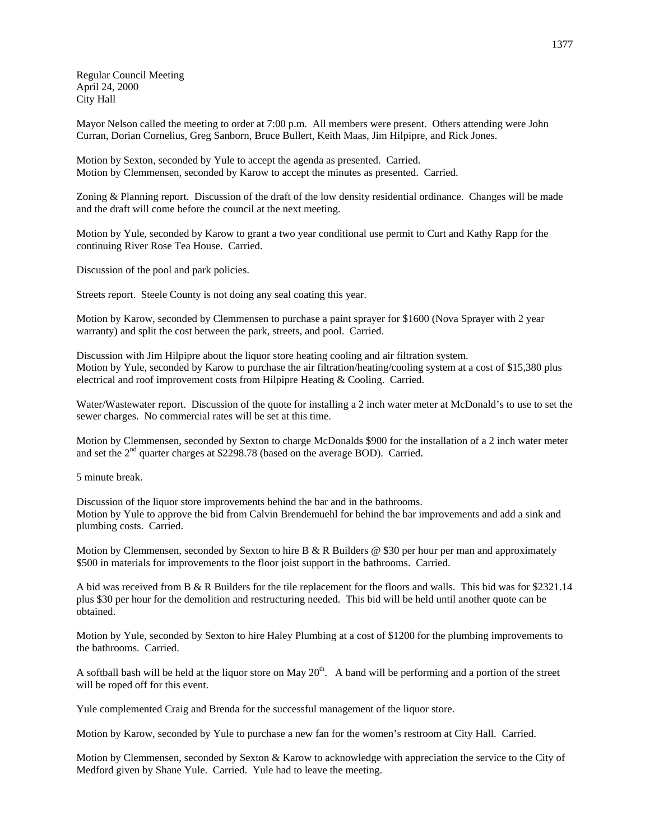Regular Council Meeting April 24, 2000 City Hall

Mayor Nelson called the meeting to order at 7:00 p.m. All members were present. Others attending were John Curran, Dorian Cornelius, Greg Sanborn, Bruce Bullert, Keith Maas, Jim Hilpipre, and Rick Jones.

Motion by Sexton, seconded by Yule to accept the agenda as presented. Carried. Motion by Clemmensen, seconded by Karow to accept the minutes as presented. Carried.

Zoning & Planning report. Discussion of the draft of the low density residential ordinance. Changes will be made and the draft will come before the council at the next meeting.

Motion by Yule, seconded by Karow to grant a two year conditional use permit to Curt and Kathy Rapp for the continuing River Rose Tea House. Carried.

Discussion of the pool and park policies.

Streets report. Steele County is not doing any seal coating this year.

Motion by Karow, seconded by Clemmensen to purchase a paint sprayer for \$1600 (Nova Sprayer with 2 year warranty) and split the cost between the park, streets, and pool. Carried.

Discussion with Jim Hilpipre about the liquor store heating cooling and air filtration system. Motion by Yule, seconded by Karow to purchase the air filtration/heating/cooling system at a cost of \$15,380 plus electrical and roof improvement costs from Hilpipre Heating & Cooling. Carried.

Water/Wastewater report. Discussion of the quote for installing a 2 inch water meter at McDonald's to use to set the sewer charges. No commercial rates will be set at this time.

Motion by Clemmensen, seconded by Sexton to charge McDonalds \$900 for the installation of a 2 inch water meter and set the  $2<sup>nd</sup>$  quarter charges at \$2298.78 (based on the average BOD). Carried.

5 minute break.

Discussion of the liquor store improvements behind the bar and in the bathrooms. Motion by Yule to approve the bid from Calvin Brendemuehl for behind the bar improvements and add a sink and plumbing costs. Carried.

Motion by Clemmensen, seconded by Sexton to hire B & R Builders  $\omega$  \$30 per hour per man and approximately \$500 in materials for improvements to the floor joist support in the bathrooms. Carried.

A bid was received from B & R Builders for the tile replacement for the floors and walls. This bid was for \$2321.14 plus \$30 per hour for the demolition and restructuring needed. This bid will be held until another quote can be obtained.

Motion by Yule, seconded by Sexton to hire Haley Plumbing at a cost of \$1200 for the plumbing improvements to the bathrooms. Carried.

A softball bash will be held at the liquor store on May  $20<sup>th</sup>$ . A band will be performing and a portion of the street will be roped off for this event.

Yule complemented Craig and Brenda for the successful management of the liquor store.

Motion by Karow, seconded by Yule to purchase a new fan for the women's restroom at City Hall. Carried.

Motion by Clemmensen, seconded by Sexton & Karow to acknowledge with appreciation the service to the City of Medford given by Shane Yule. Carried. Yule had to leave the meeting.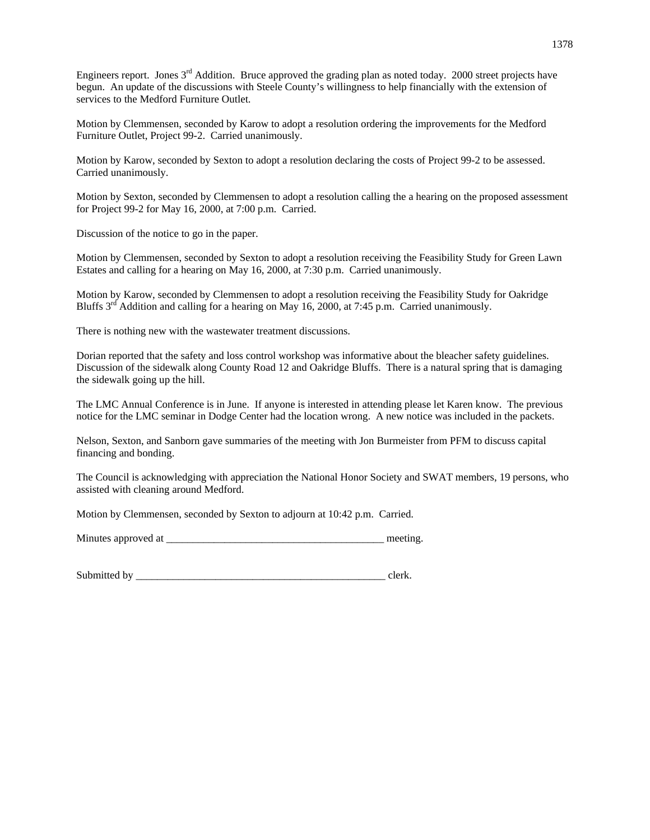Engineers report. Jones 3rd Addition. Bruce approved the grading plan as noted today. 2000 street projects have begun. An update of the discussions with Steele County's willingness to help financially with the extension of services to the Medford Furniture Outlet.

Motion by Clemmensen, seconded by Karow to adopt a resolution ordering the improvements for the Medford Furniture Outlet, Project 99-2. Carried unanimously.

Motion by Karow, seconded by Sexton to adopt a resolution declaring the costs of Project 99-2 to be assessed. Carried unanimously.

Motion by Sexton, seconded by Clemmensen to adopt a resolution calling the a hearing on the proposed assessment for Project 99-2 for May 16, 2000, at 7:00 p.m. Carried.

Discussion of the notice to go in the paper.

Motion by Clemmensen, seconded by Sexton to adopt a resolution receiving the Feasibility Study for Green Lawn Estates and calling for a hearing on May 16, 2000, at 7:30 p.m. Carried unanimously.

Motion by Karow, seconded by Clemmensen to adopt a resolution receiving the Feasibility Study for Oakridge Bluffs  $3<sup>rd</sup>$  Addition and calling for a hearing on May 16, 2000, at 7:45 p.m. Carried unanimously.

There is nothing new with the wastewater treatment discussions.

Dorian reported that the safety and loss control workshop was informative about the bleacher safety guidelines. Discussion of the sidewalk along County Road 12 and Oakridge Bluffs. There is a natural spring that is damaging the sidewalk going up the hill.

The LMC Annual Conference is in June. If anyone is interested in attending please let Karen know. The previous notice for the LMC seminar in Dodge Center had the location wrong. A new notice was included in the packets.

Nelson, Sexton, and Sanborn gave summaries of the meeting with Jon Burmeister from PFM to discuss capital financing and bonding.

The Council is acknowledging with appreciation the National Honor Society and SWAT members, 19 persons, who assisted with cleaning around Medford.

Motion by Clemmensen, seconded by Sexton to adjourn at 10:42 p.m. Carried.

Minutes approved at the setting.

Submitted by even clerk.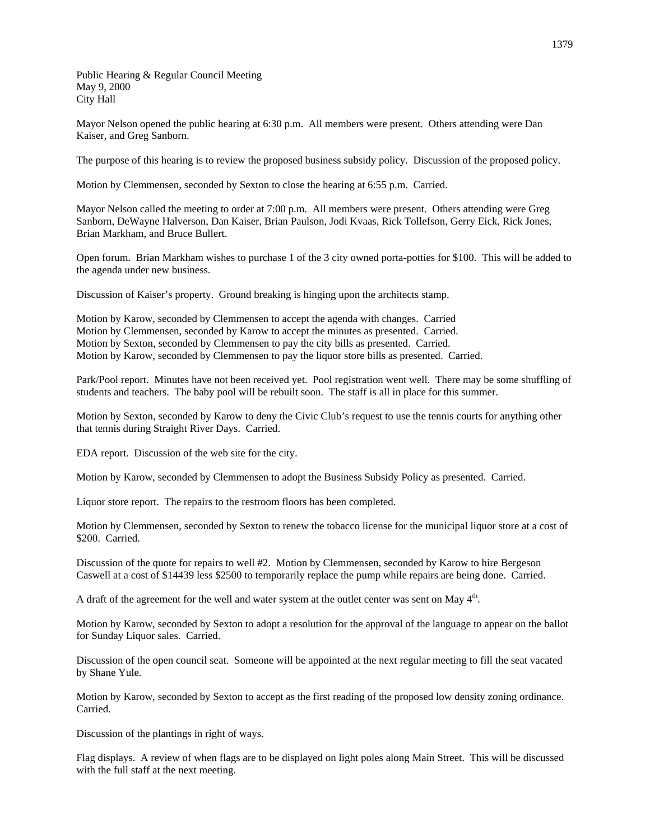Public Hearing & Regular Council Meeting May 9, 2000 City Hall

Mayor Nelson opened the public hearing at 6:30 p.m. All members were present. Others attending were Dan Kaiser, and Greg Sanborn.

The purpose of this hearing is to review the proposed business subsidy policy. Discussion of the proposed policy.

Motion by Clemmensen, seconded by Sexton to close the hearing at 6:55 p.m. Carried.

Mayor Nelson called the meeting to order at 7:00 p.m. All members were present. Others attending were Greg Sanborn, DeWayne Halverson, Dan Kaiser, Brian Paulson, Jodi Kvaas, Rick Tollefson, Gerry Eick, Rick Jones, Brian Markham, and Bruce Bullert.

Open forum. Brian Markham wishes to purchase 1 of the 3 city owned porta-potties for \$100. This will be added to the agenda under new business.

Discussion of Kaiser's property. Ground breaking is hinging upon the architects stamp.

Motion by Karow, seconded by Clemmensen to accept the agenda with changes. Carried Motion by Clemmensen, seconded by Karow to accept the minutes as presented. Carried. Motion by Sexton, seconded by Clemmensen to pay the city bills as presented. Carried. Motion by Karow, seconded by Clemmensen to pay the liquor store bills as presented. Carried.

Park/Pool report. Minutes have not been received yet. Pool registration went well. There may be some shuffling of students and teachers. The baby pool will be rebuilt soon. The staff is all in place for this summer.

Motion by Sexton, seconded by Karow to deny the Civic Club's request to use the tennis courts for anything other that tennis during Straight River Days. Carried.

EDA report. Discussion of the web site for the city.

Motion by Karow, seconded by Clemmensen to adopt the Business Subsidy Policy as presented. Carried.

Liquor store report. The repairs to the restroom floors has been completed.

Motion by Clemmensen, seconded by Sexton to renew the tobacco license for the municipal liquor store at a cost of \$200. Carried.

Discussion of the quote for repairs to well #2. Motion by Clemmensen, seconded by Karow to hire Bergeson Caswell at a cost of \$14439 less \$2500 to temporarily replace the pump while repairs are being done. Carried.

A draft of the agreement for the well and water system at the outlet center was sent on May  $4<sup>th</sup>$ .

Motion by Karow, seconded by Sexton to adopt a resolution for the approval of the language to appear on the ballot for Sunday Liquor sales. Carried.

Discussion of the open council seat. Someone will be appointed at the next regular meeting to fill the seat vacated by Shane Yule.

Motion by Karow, seconded by Sexton to accept as the first reading of the proposed low density zoning ordinance. Carried.

Discussion of the plantings in right of ways.

Flag displays. A review of when flags are to be displayed on light poles along Main Street. This will be discussed with the full staff at the next meeting.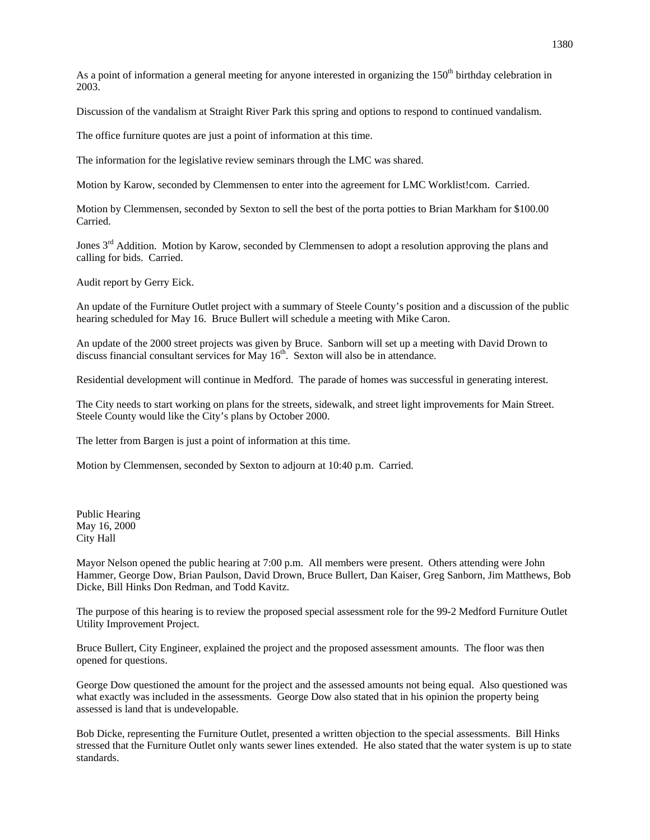As a point of information a general meeting for anyone interested in organizing the  $150<sup>th</sup>$  birthday celebration in 2003.

Discussion of the vandalism at Straight River Park this spring and options to respond to continued vandalism.

The office furniture quotes are just a point of information at this time.

The information for the legislative review seminars through the LMC was shared.

Motion by Karow, seconded by Clemmensen to enter into the agreement for LMC Worklist!com. Carried.

Motion by Clemmensen, seconded by Sexton to sell the best of the porta potties to Brian Markham for \$100.00 Carried.

Jones 3<sup>rd</sup> Addition. Motion by Karow, seconded by Clemmensen to adopt a resolution approving the plans and calling for bids. Carried.

Audit report by Gerry Eick.

An update of the Furniture Outlet project with a summary of Steele County's position and a discussion of the public hearing scheduled for May 16. Bruce Bullert will schedule a meeting with Mike Caron.

An update of the 2000 street projects was given by Bruce. Sanborn will set up a meeting with David Drown to discuss financial consultant services for May  $16<sup>th</sup>$ . Sexton will also be in attendance.

Residential development will continue in Medford. The parade of homes was successful in generating interest.

The City needs to start working on plans for the streets, sidewalk, and street light improvements for Main Street. Steele County would like the City's plans by October 2000.

The letter from Bargen is just a point of information at this time.

Motion by Clemmensen, seconded by Sexton to adjourn at 10:40 p.m. Carried.

Public Hearing May 16, 2000 City Hall

Mayor Nelson opened the public hearing at 7:00 p.m. All members were present. Others attending were John Hammer, George Dow, Brian Paulson, David Drown, Bruce Bullert, Dan Kaiser, Greg Sanborn, Jim Matthews, Bob Dicke, Bill Hinks Don Redman, and Todd Kavitz.

The purpose of this hearing is to review the proposed special assessment role for the 99-2 Medford Furniture Outlet Utility Improvement Project.

Bruce Bullert, City Engineer, explained the project and the proposed assessment amounts. The floor was then opened for questions.

George Dow questioned the amount for the project and the assessed amounts not being equal. Also questioned was what exactly was included in the assessments. George Dow also stated that in his opinion the property being assessed is land that is undevelopable.

Bob Dicke, representing the Furniture Outlet, presented a written objection to the special assessments. Bill Hinks stressed that the Furniture Outlet only wants sewer lines extended. He also stated that the water system is up to state standards.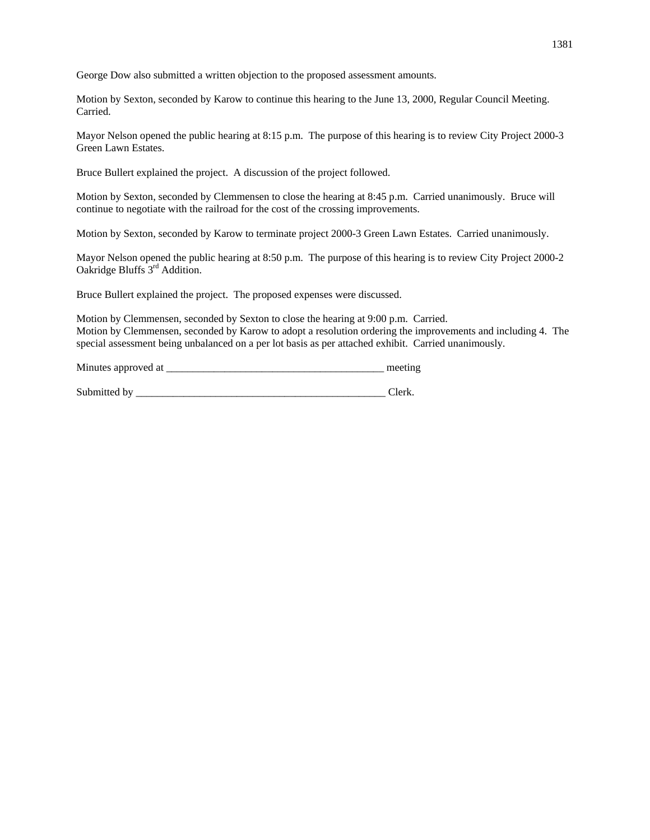George Dow also submitted a written objection to the proposed assessment amounts.

Motion by Sexton, seconded by Karow to continue this hearing to the June 13, 2000, Regular Council Meeting. Carried.

Mayor Nelson opened the public hearing at 8:15 p.m. The purpose of this hearing is to review City Project 2000-3 Green Lawn Estates.

Bruce Bullert explained the project. A discussion of the project followed.

Motion by Sexton, seconded by Clemmensen to close the hearing at 8:45 p.m. Carried unanimously. Bruce will continue to negotiate with the railroad for the cost of the crossing improvements.

Motion by Sexton, seconded by Karow to terminate project 2000-3 Green Lawn Estates. Carried unanimously.

Mayor Nelson opened the public hearing at 8:50 p.m. The purpose of this hearing is to review City Project 2000-2 Oakridge Bluffs 3rd Addition.

Bruce Bullert explained the project. The proposed expenses were discussed.

Motion by Clemmensen, seconded by Sexton to close the hearing at 9:00 p.m. Carried. Motion by Clemmensen, seconded by Karow to adopt a resolution ordering the improvements and including 4. The special assessment being unbalanced on a per lot basis as per attached exhibit. Carried unanimously.

Minutes approved at \_\_\_\_\_\_\_\_\_\_\_\_\_\_\_\_\_\_\_\_\_\_\_\_\_\_\_\_\_\_\_\_\_\_\_\_\_\_\_\_\_ meeting

Submitted by \_\_\_\_\_\_\_\_\_\_\_\_\_\_\_\_\_\_\_\_\_\_\_\_\_\_\_\_\_\_\_\_\_\_\_\_\_\_\_\_\_\_\_\_\_\_\_ Clerk.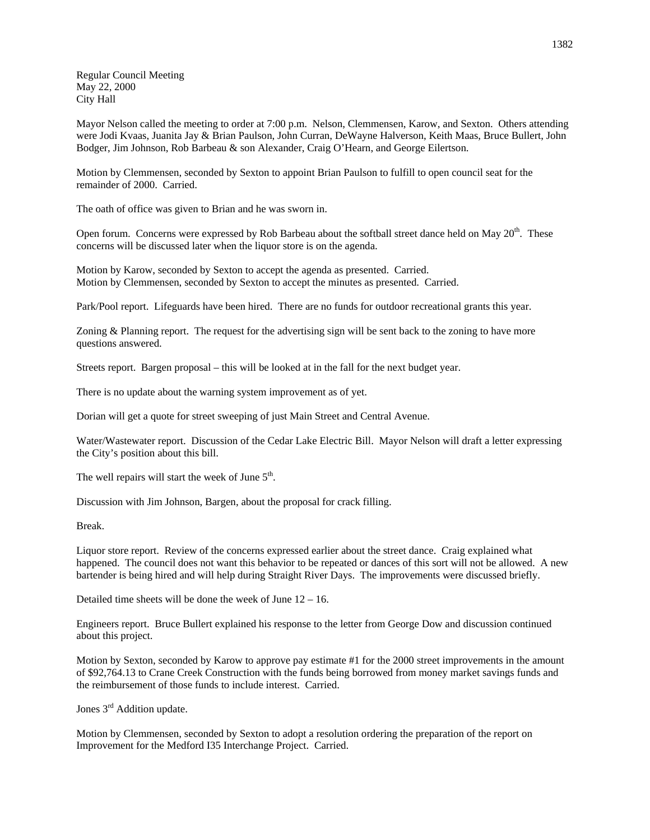Regular Council Meeting May 22, 2000 City Hall

Mayor Nelson called the meeting to order at 7:00 p.m. Nelson, Clemmensen, Karow, and Sexton. Others attending were Jodi Kvaas, Juanita Jay & Brian Paulson, John Curran, DeWayne Halverson, Keith Maas, Bruce Bullert, John Bodger, Jim Johnson, Rob Barbeau & son Alexander, Craig O'Hearn, and George Eilertson.

Motion by Clemmensen, seconded by Sexton to appoint Brian Paulson to fulfill to open council seat for the remainder of 2000. Carried.

The oath of office was given to Brian and he was sworn in.

Open forum. Concerns were expressed by Rob Barbeau about the softball street dance held on May 20<sup>th</sup>. These concerns will be discussed later when the liquor store is on the agenda.

Motion by Karow, seconded by Sexton to accept the agenda as presented. Carried. Motion by Clemmensen, seconded by Sexton to accept the minutes as presented. Carried.

Park/Pool report. Lifeguards have been hired. There are no funds for outdoor recreational grants this year.

Zoning & Planning report. The request for the advertising sign will be sent back to the zoning to have more questions answered.

Streets report. Bargen proposal – this will be looked at in the fall for the next budget year.

There is no update about the warning system improvement as of yet.

Dorian will get a quote for street sweeping of just Main Street and Central Avenue.

Water/Wastewater report. Discussion of the Cedar Lake Electric Bill. Mayor Nelson will draft a letter expressing the City's position about this bill.

The well repairs will start the week of June  $5<sup>th</sup>$ .

Discussion with Jim Johnson, Bargen, about the proposal for crack filling.

Break.

Liquor store report. Review of the concerns expressed earlier about the street dance. Craig explained what happened. The council does not want this behavior to be repeated or dances of this sort will not be allowed. A new bartender is being hired and will help during Straight River Days. The improvements were discussed briefly.

Detailed time sheets will be done the week of June  $12 - 16$ .

Engineers report. Bruce Bullert explained his response to the letter from George Dow and discussion continued about this project.

Motion by Sexton, seconded by Karow to approve pay estimate #1 for the 2000 street improvements in the amount of \$92,764.13 to Crane Creek Construction with the funds being borrowed from money market savings funds and the reimbursement of those funds to include interest. Carried.

Jones 3rd Addition update.

Motion by Clemmensen, seconded by Sexton to adopt a resolution ordering the preparation of the report on Improvement for the Medford I35 Interchange Project. Carried.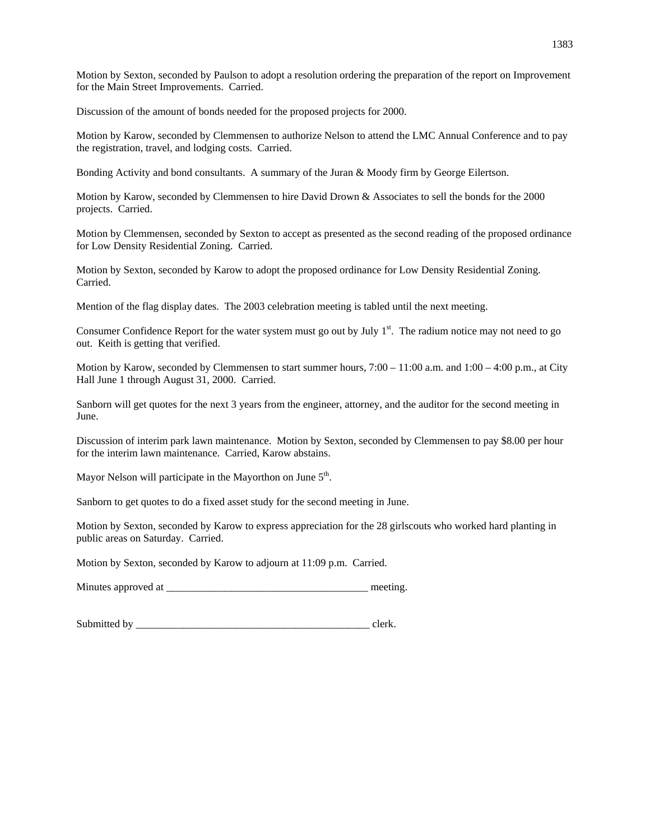Motion by Sexton, seconded by Paulson to adopt a resolution ordering the preparation of the report on Improvement for the Main Street Improvements. Carried.

Discussion of the amount of bonds needed for the proposed projects for 2000.

Motion by Karow, seconded by Clemmensen to authorize Nelson to attend the LMC Annual Conference and to pay the registration, travel, and lodging costs. Carried.

Bonding Activity and bond consultants. A summary of the Juran & Moody firm by George Eilertson.

Motion by Karow, seconded by Clemmensen to hire David Drown & Associates to sell the bonds for the 2000 projects. Carried.

Motion by Clemmensen, seconded by Sexton to accept as presented as the second reading of the proposed ordinance for Low Density Residential Zoning. Carried.

Motion by Sexton, seconded by Karow to adopt the proposed ordinance for Low Density Residential Zoning. Carried.

Mention of the flag display dates. The 2003 celebration meeting is tabled until the next meeting.

Consumer Confidence Report for the water system must go out by July 1<sup>st</sup>. The radium notice may not need to go out. Keith is getting that verified.

Motion by Karow, seconded by Clemmensen to start summer hours, 7:00 – 11:00 a.m. and 1:00 – 4:00 p.m., at City Hall June 1 through August 31, 2000. Carried.

Sanborn will get quotes for the next 3 years from the engineer, attorney, and the auditor for the second meeting in June.

Discussion of interim park lawn maintenance. Motion by Sexton, seconded by Clemmensen to pay \$8.00 per hour for the interim lawn maintenance. Carried, Karow abstains.

Mayor Nelson will participate in the Mayorthon on June 5<sup>th</sup>.

Sanborn to get quotes to do a fixed asset study for the second meeting in June.

Motion by Sexton, seconded by Karow to express appreciation for the 28 girlscouts who worked hard planting in public areas on Saturday. Carried.

Motion by Sexton, seconded by Karow to adjourn at 11:09 p.m. Carried.

Minutes approved at \_\_\_\_\_\_\_\_\_\_\_\_\_\_\_\_\_\_\_\_\_\_\_\_\_\_\_\_\_\_\_\_\_\_\_\_\_\_ meeting.

Submitted by \_\_\_\_\_\_\_\_\_\_\_\_\_\_\_\_\_\_\_\_\_\_\_\_\_\_\_\_\_\_\_\_\_\_\_\_\_\_\_\_\_\_\_\_ clerk.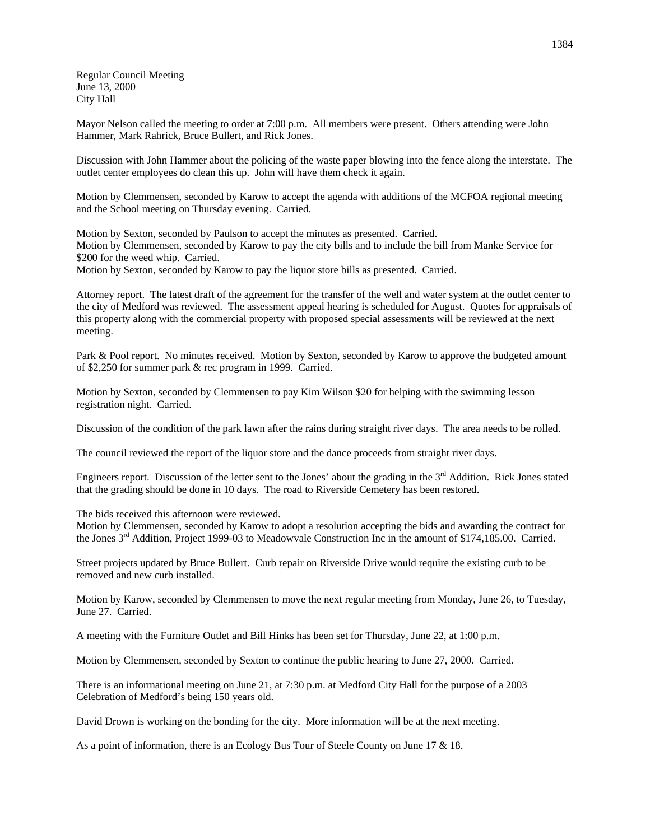Regular Council Meeting June 13, 2000 City Hall

Mayor Nelson called the meeting to order at 7:00 p.m. All members were present. Others attending were John Hammer, Mark Rahrick, Bruce Bullert, and Rick Jones.

Discussion with John Hammer about the policing of the waste paper blowing into the fence along the interstate. The outlet center employees do clean this up. John will have them check it again.

Motion by Clemmensen, seconded by Karow to accept the agenda with additions of the MCFOA regional meeting and the School meeting on Thursday evening. Carried.

Motion by Sexton, seconded by Paulson to accept the minutes as presented. Carried. Motion by Clemmensen, seconded by Karow to pay the city bills and to include the bill from Manke Service for \$200 for the weed whip. Carried. Motion by Sexton, seconded by Karow to pay the liquor store bills as presented. Carried.

Attorney report. The latest draft of the agreement for the transfer of the well and water system at the outlet center to the city of Medford was reviewed. The assessment appeal hearing is scheduled for August. Quotes for appraisals of this property along with the commercial property with proposed special assessments will be reviewed at the next meeting.

Park & Pool report. No minutes received. Motion by Sexton, seconded by Karow to approve the budgeted amount of \$2,250 for summer park & rec program in 1999. Carried.

Motion by Sexton, seconded by Clemmensen to pay Kim Wilson \$20 for helping with the swimming lesson registration night. Carried.

Discussion of the condition of the park lawn after the rains during straight river days. The area needs to be rolled.

The council reviewed the report of the liquor store and the dance proceeds from straight river days.

Engineers report. Discussion of the letter sent to the Jones' about the grading in the 3<sup>rd</sup> Addition. Rick Jones stated that the grading should be done in 10 days. The road to Riverside Cemetery has been restored.

The bids received this afternoon were reviewed.

Motion by Clemmensen, seconded by Karow to adopt a resolution accepting the bids and awarding the contract for the Jones 3rd Addition, Project 1999-03 to Meadowvale Construction Inc in the amount of \$174,185.00. Carried.

Street projects updated by Bruce Bullert. Curb repair on Riverside Drive would require the existing curb to be removed and new curb installed.

Motion by Karow, seconded by Clemmensen to move the next regular meeting from Monday, June 26, to Tuesday, June 27. Carried.

A meeting with the Furniture Outlet and Bill Hinks has been set for Thursday, June 22, at 1:00 p.m.

Motion by Clemmensen, seconded by Sexton to continue the public hearing to June 27, 2000. Carried.

There is an informational meeting on June 21, at 7:30 p.m. at Medford City Hall for the purpose of a 2003 Celebration of Medford's being 150 years old.

David Drown is working on the bonding for the city. More information will be at the next meeting.

As a point of information, there is an Ecology Bus Tour of Steele County on June 17 & 18.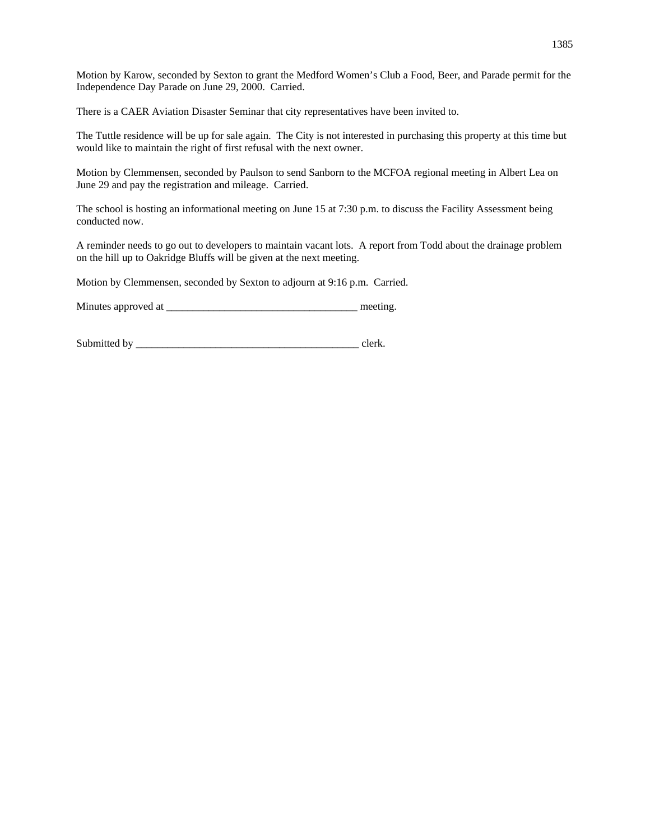Motion by Karow, seconded by Sexton to grant the Medford Women's Club a Food, Beer, and Parade permit for the Independence Day Parade on June 29, 2000. Carried.

There is a CAER Aviation Disaster Seminar that city representatives have been invited to.

The Tuttle residence will be up for sale again. The City is not interested in purchasing this property at this time but would like to maintain the right of first refusal with the next owner.

Motion by Clemmensen, seconded by Paulson to send Sanborn to the MCFOA regional meeting in Albert Lea on June 29 and pay the registration and mileage. Carried.

The school is hosting an informational meeting on June 15 at 7:30 p.m. to discuss the Facility Assessment being conducted now.

A reminder needs to go out to developers to maintain vacant lots. A report from Todd about the drainage problem on the hill up to Oakridge Bluffs will be given at the next meeting.

Motion by Clemmensen, seconded by Sexton to adjourn at 9:16 p.m. Carried.

Minutes approved at \_\_\_\_\_\_\_\_\_\_\_\_\_\_\_\_\_\_\_\_\_\_\_\_\_\_\_\_\_\_\_\_\_\_\_\_ meeting.

Submitted by \_\_\_\_\_\_\_\_\_\_\_\_\_\_\_\_\_\_\_\_\_\_\_\_\_\_\_\_\_\_\_\_\_\_\_\_\_\_\_\_\_\_ clerk.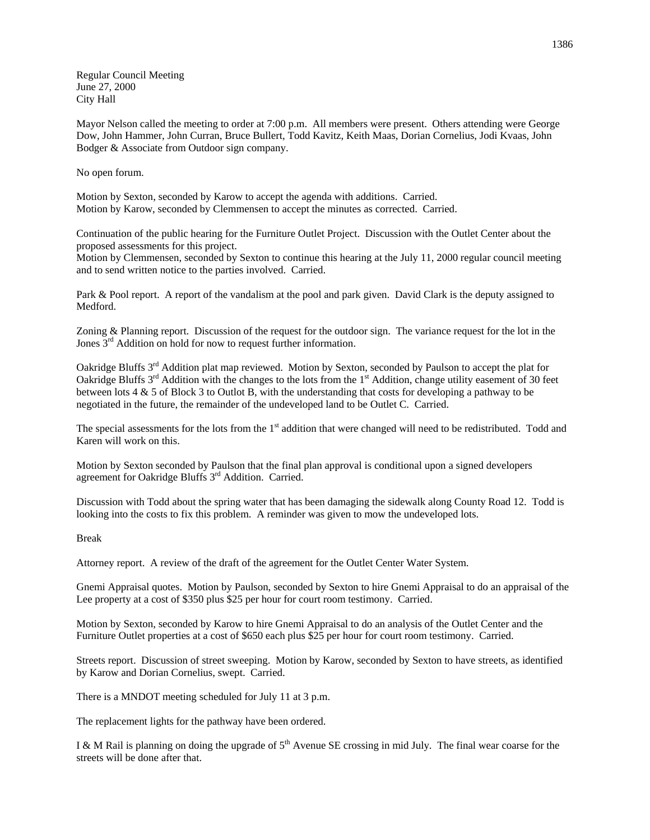Regular Council Meeting June 27, 2000 City Hall

Mayor Nelson called the meeting to order at 7:00 p.m. All members were present. Others attending were George Dow, John Hammer, John Curran, Bruce Bullert, Todd Kavitz, Keith Maas, Dorian Cornelius, Jodi Kvaas, John Bodger & Associate from Outdoor sign company.

No open forum.

Motion by Sexton, seconded by Karow to accept the agenda with additions. Carried. Motion by Karow, seconded by Clemmensen to accept the minutes as corrected. Carried.

Continuation of the public hearing for the Furniture Outlet Project. Discussion with the Outlet Center about the proposed assessments for this project.

Motion by Clemmensen, seconded by Sexton to continue this hearing at the July 11, 2000 regular council meeting and to send written notice to the parties involved. Carried.

Park & Pool report. A report of the vandalism at the pool and park given. David Clark is the deputy assigned to Medford.

Zoning & Planning report. Discussion of the request for the outdoor sign. The variance request for the lot in the Jones  $3<sup>rd</sup>$  Addition on hold for now to request further information.

Oakridge Bluffs 3<sup>rd</sup> Addition plat map reviewed. Motion by Sexton, seconded by Paulson to accept the plat for Oakridge Bluffs 3<sup>rd</sup> Addition with the changes to the lots from the 1<sup>st</sup> Addition, change utility easement of 30 feet between lots 4 & 5 of Block 3 to Outlot B, with the understanding that costs for developing a pathway to be negotiated in the future, the remainder of the undeveloped land to be Outlet C. Carried.

The special assessments for the lots from the 1<sup>st</sup> addition that were changed will need to be redistributed. Todd and Karen will work on this.

Motion by Sexton seconded by Paulson that the final plan approval is conditional upon a signed developers agreement for Oakridge Bluffs 3rd Addition. Carried.

Discussion with Todd about the spring water that has been damaging the sidewalk along County Road 12. Todd is looking into the costs to fix this problem. A reminder was given to mow the undeveloped lots.

Break

Attorney report. A review of the draft of the agreement for the Outlet Center Water System.

Gnemi Appraisal quotes. Motion by Paulson, seconded by Sexton to hire Gnemi Appraisal to do an appraisal of the Lee property at a cost of \$350 plus \$25 per hour for court room testimony. Carried.

Motion by Sexton, seconded by Karow to hire Gnemi Appraisal to do an analysis of the Outlet Center and the Furniture Outlet properties at a cost of \$650 each plus \$25 per hour for court room testimony. Carried.

Streets report. Discussion of street sweeping. Motion by Karow, seconded by Sexton to have streets, as identified by Karow and Dorian Cornelius, swept. Carried.

There is a MNDOT meeting scheduled for July 11 at 3 p.m.

The replacement lights for the pathway have been ordered.

I & M Rail is planning on doing the upgrade of  $5<sup>th</sup>$  Avenue SE crossing in mid July. The final wear coarse for the streets will be done after that.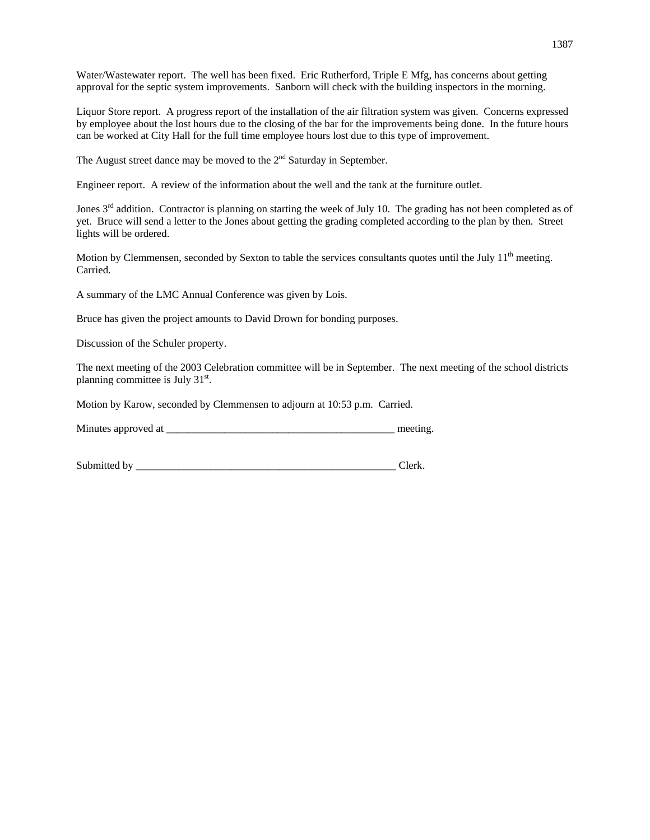Water/Wastewater report. The well has been fixed. Eric Rutherford, Triple E Mfg, has concerns about getting approval for the septic system improvements. Sanborn will check with the building inspectors in the morning.

Liquor Store report. A progress report of the installation of the air filtration system was given. Concerns expressed by employee about the lost hours due to the closing of the bar for the improvements being done. In the future hours can be worked at City Hall for the full time employee hours lost due to this type of improvement.

The August street dance may be moved to the  $2<sup>nd</sup>$  Saturday in September.

Engineer report. A review of the information about the well and the tank at the furniture outlet.

Jones  $3<sup>rd</sup>$  addition. Contractor is planning on starting the week of July 10. The grading has not been completed as of yet. Bruce will send a letter to the Jones about getting the grading completed according to the plan by then. Street lights will be ordered.

Motion by Clemmensen, seconded by Sexton to table the services consultants quotes until the July 11<sup>th</sup> meeting. Carried.

A summary of the LMC Annual Conference was given by Lois.

Bruce has given the project amounts to David Drown for bonding purposes.

Discussion of the Schuler property.

The next meeting of the 2003 Celebration committee will be in September. The next meeting of the school districts planning committee is July 31<sup>st</sup>.

Motion by Karow, seconded by Clemmensen to adjourn at 10:53 p.m. Carried.

| Minutes approved at |  | meeting |
|---------------------|--|---------|
|---------------------|--|---------|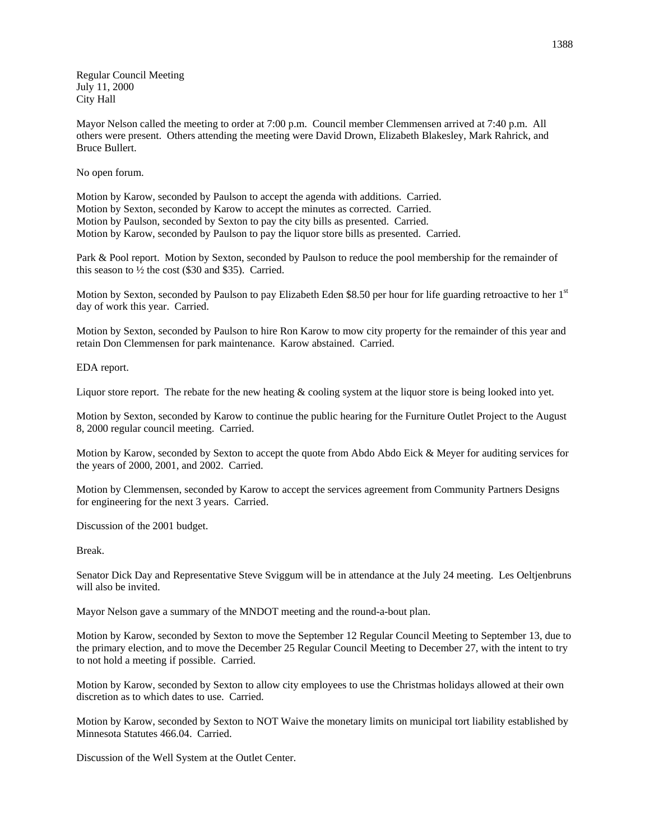Regular Council Meeting July 11, 2000 City Hall

Mayor Nelson called the meeting to order at 7:00 p.m. Council member Clemmensen arrived at 7:40 p.m. All others were present. Others attending the meeting were David Drown, Elizabeth Blakesley, Mark Rahrick, and Bruce Bullert.

No open forum.

Motion by Karow, seconded by Paulson to accept the agenda with additions. Carried. Motion by Sexton, seconded by Karow to accept the minutes as corrected. Carried. Motion by Paulson, seconded by Sexton to pay the city bills as presented. Carried. Motion by Karow, seconded by Paulson to pay the liquor store bills as presented. Carried.

Park & Pool report. Motion by Sexton, seconded by Paulson to reduce the pool membership for the remainder of this season to  $\frac{1}{2}$  the cost (\$30 and \$35). Carried.

Motion by Sexton, seconded by Paulson to pay Elizabeth Eden \$8.50 per hour for life guarding retroactive to her  $1<sup>st</sup>$ day of work this year. Carried.

Motion by Sexton, seconded by Paulson to hire Ron Karow to mow city property for the remainder of this year and retain Don Clemmensen for park maintenance. Karow abstained. Carried.

EDA report.

Liquor store report. The rebate for the new heating & cooling system at the liquor store is being looked into yet.

Motion by Sexton, seconded by Karow to continue the public hearing for the Furniture Outlet Project to the August 8, 2000 regular council meeting. Carried.

Motion by Karow, seconded by Sexton to accept the quote from Abdo Abdo Eick & Meyer for auditing services for the years of 2000, 2001, and 2002. Carried.

Motion by Clemmensen, seconded by Karow to accept the services agreement from Community Partners Designs for engineering for the next 3 years. Carried.

Discussion of the 2001 budget.

Break.

Senator Dick Day and Representative Steve Sviggum will be in attendance at the July 24 meeting. Les Oeltjenbruns will also be invited.

Mayor Nelson gave a summary of the MNDOT meeting and the round-a-bout plan.

Motion by Karow, seconded by Sexton to move the September 12 Regular Council Meeting to September 13, due to the primary election, and to move the December 25 Regular Council Meeting to December 27, with the intent to try to not hold a meeting if possible. Carried.

Motion by Karow, seconded by Sexton to allow city employees to use the Christmas holidays allowed at their own discretion as to which dates to use. Carried.

Motion by Karow, seconded by Sexton to NOT Waive the monetary limits on municipal tort liability established by Minnesota Statutes 466.04. Carried.

Discussion of the Well System at the Outlet Center.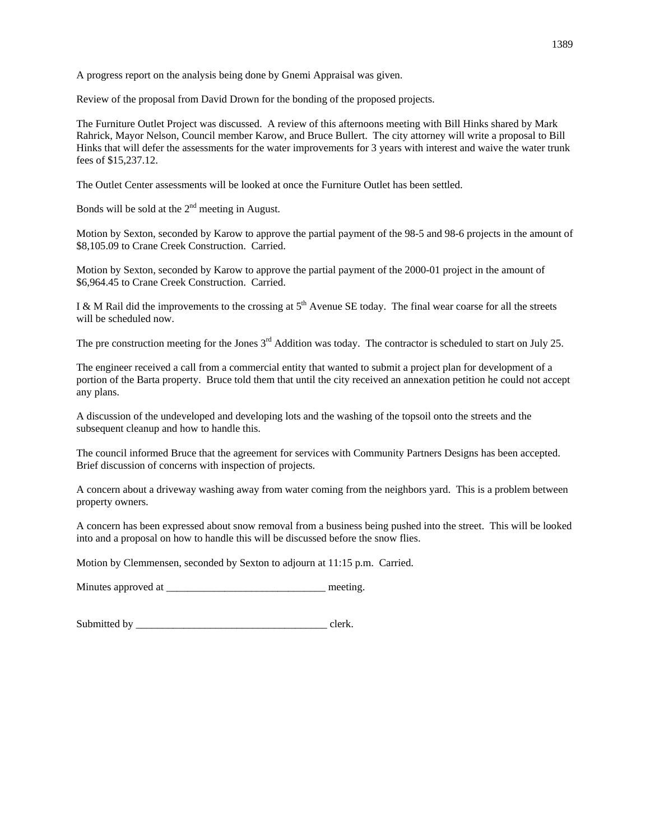A progress report on the analysis being done by Gnemi Appraisal was given.

Review of the proposal from David Drown for the bonding of the proposed projects.

The Furniture Outlet Project was discussed. A review of this afternoons meeting with Bill Hinks shared by Mark Rahrick, Mayor Nelson, Council member Karow, and Bruce Bullert. The city attorney will write a proposal to Bill Hinks that will defer the assessments for the water improvements for 3 years with interest and waive the water trunk fees of \$15,237.12.

The Outlet Center assessments will be looked at once the Furniture Outlet has been settled.

Bonds will be sold at the  $2<sup>nd</sup>$  meeting in August.

Motion by Sexton, seconded by Karow to approve the partial payment of the 98-5 and 98-6 projects in the amount of \$8,105.09 to Crane Creek Construction. Carried.

Motion by Sexton, seconded by Karow to approve the partial payment of the 2000-01 project in the amount of \$6,964.45 to Crane Creek Construction. Carried.

I & M Rail did the improvements to the crossing at  $5<sup>th</sup>$  Avenue SE today. The final wear coarse for all the streets will be scheduled now.

The pre construction meeting for the Jones  $3<sup>rd</sup>$  Addition was today. The contractor is scheduled to start on July 25.

The engineer received a call from a commercial entity that wanted to submit a project plan for development of a portion of the Barta property. Bruce told them that until the city received an annexation petition he could not accept any plans.

A discussion of the undeveloped and developing lots and the washing of the topsoil onto the streets and the subsequent cleanup and how to handle this.

The council informed Bruce that the agreement for services with Community Partners Designs has been accepted. Brief discussion of concerns with inspection of projects.

A concern about a driveway washing away from water coming from the neighbors yard. This is a problem between property owners.

A concern has been expressed about snow removal from a business being pushed into the street. This will be looked into and a proposal on how to handle this will be discussed before the snow flies.

Motion by Clemmensen, seconded by Sexton to adjourn at 11:15 p.m. Carried.

Minutes approved at \_\_\_\_\_\_\_\_\_\_\_\_\_\_\_\_\_\_\_\_\_\_\_\_\_\_\_\_\_\_ meeting.

Submitted by \_\_\_\_\_\_\_\_\_\_\_\_\_\_\_\_\_\_\_\_\_\_\_\_\_\_\_\_\_\_\_\_\_\_\_\_ clerk.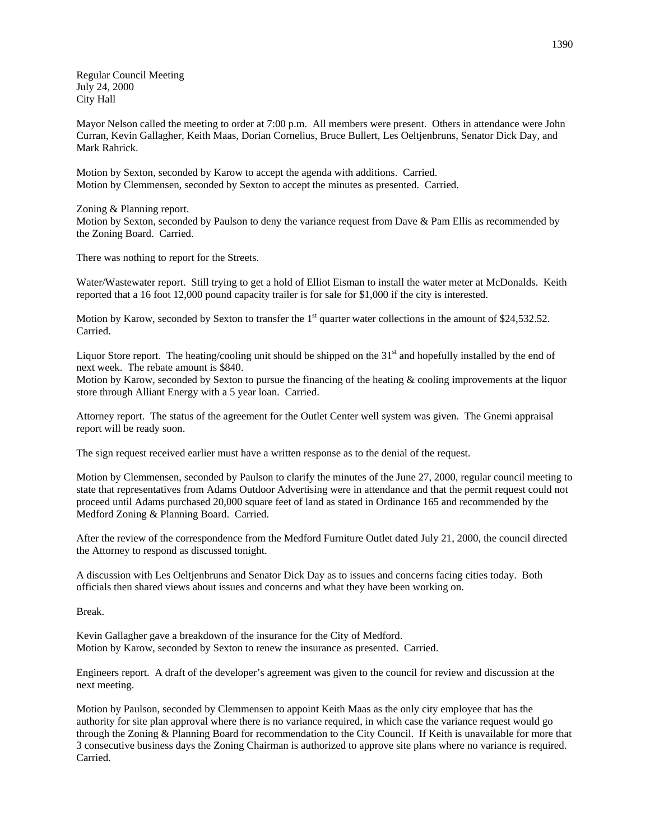Regular Council Meeting July 24, 2000 City Hall

Mayor Nelson called the meeting to order at 7:00 p.m. All members were present. Others in attendance were John Curran, Kevin Gallagher, Keith Maas, Dorian Cornelius, Bruce Bullert, Les Oeltjenbruns, Senator Dick Day, and Mark Rahrick.

Motion by Sexton, seconded by Karow to accept the agenda with additions. Carried. Motion by Clemmensen, seconded by Sexton to accept the minutes as presented. Carried.

Zoning & Planning report.

Motion by Sexton, seconded by Paulson to deny the variance request from Dave & Pam Ellis as recommended by the Zoning Board. Carried.

There was nothing to report for the Streets.

Water/Wastewater report. Still trying to get a hold of Elliot Eisman to install the water meter at McDonalds. Keith reported that a 16 foot 12,000 pound capacity trailer is for sale for \$1,000 if the city is interested.

Motion by Karow, seconded by Sexton to transfer the  $1<sup>st</sup>$  quarter water collections in the amount of \$24,532.52. Carried.

Liquor Store report. The heating/cooling unit should be shipped on the 31<sup>st</sup> and hopefully installed by the end of next week. The rebate amount is \$840.

Motion by Karow, seconded by Sexton to pursue the financing of the heating & cooling improvements at the liquor store through Alliant Energy with a 5 year loan. Carried.

Attorney report. The status of the agreement for the Outlet Center well system was given. The Gnemi appraisal report will be ready soon.

The sign request received earlier must have a written response as to the denial of the request.

Motion by Clemmensen, seconded by Paulson to clarify the minutes of the June 27, 2000, regular council meeting to state that representatives from Adams Outdoor Advertising were in attendance and that the permit request could not proceed until Adams purchased 20,000 square feet of land as stated in Ordinance 165 and recommended by the Medford Zoning & Planning Board. Carried.

After the review of the correspondence from the Medford Furniture Outlet dated July 21, 2000, the council directed the Attorney to respond as discussed tonight.

A discussion with Les Oeltjenbruns and Senator Dick Day as to issues and concerns facing cities today. Both officials then shared views about issues and concerns and what they have been working on.

Break.

Kevin Gallagher gave a breakdown of the insurance for the City of Medford. Motion by Karow, seconded by Sexton to renew the insurance as presented. Carried.

Engineers report. A draft of the developer's agreement was given to the council for review and discussion at the next meeting.

Motion by Paulson, seconded by Clemmensen to appoint Keith Maas as the only city employee that has the authority for site plan approval where there is no variance required, in which case the variance request would go through the Zoning & Planning Board for recommendation to the City Council. If Keith is unavailable for more that 3 consecutive business days the Zoning Chairman is authorized to approve site plans where no variance is required. Carried.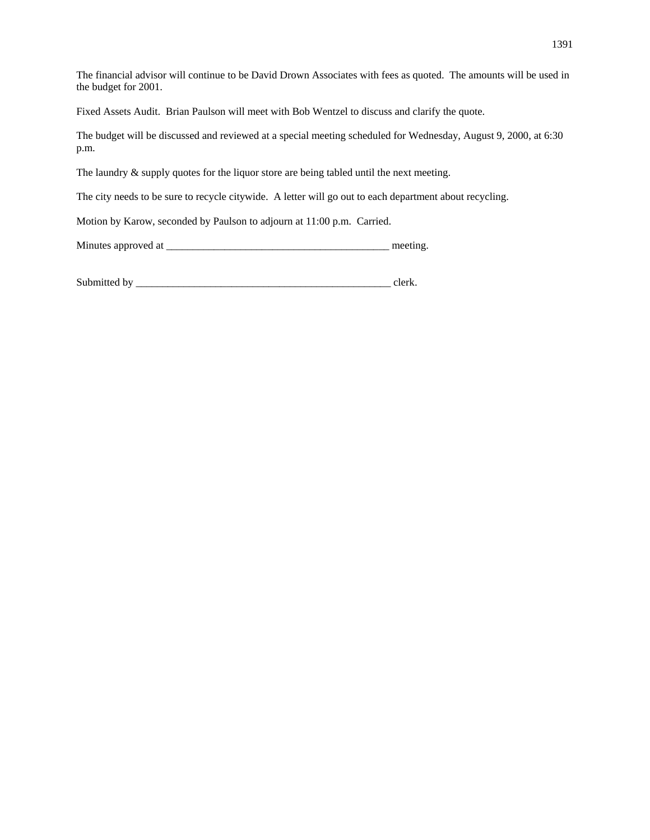The financial advisor will continue to be David Drown Associates with fees as quoted. The amounts will be used in the budget for 2001.

Fixed Assets Audit. Brian Paulson will meet with Bob Wentzel to discuss and clarify the quote.

The budget will be discussed and reviewed at a special meeting scheduled for Wednesday, August 9, 2000, at 6:30 p.m.

The laundry  $\&$  supply quotes for the liquor store are being tabled until the next meeting.

The city needs to be sure to recycle citywide. A letter will go out to each department about recycling.

Motion by Karow, seconded by Paulson to adjourn at 11:00 p.m. Carried.

Minutes approved at \_\_\_\_\_\_\_\_\_\_\_\_\_\_\_\_\_\_\_\_\_\_\_\_\_\_\_\_\_\_\_\_\_\_\_\_\_\_\_\_\_\_ meeting.

Submitted by \_\_\_\_\_\_\_\_\_\_\_\_\_\_\_\_\_\_\_\_\_\_\_\_\_\_\_\_\_\_\_\_\_\_\_\_\_\_\_\_\_\_\_\_\_\_\_\_ clerk.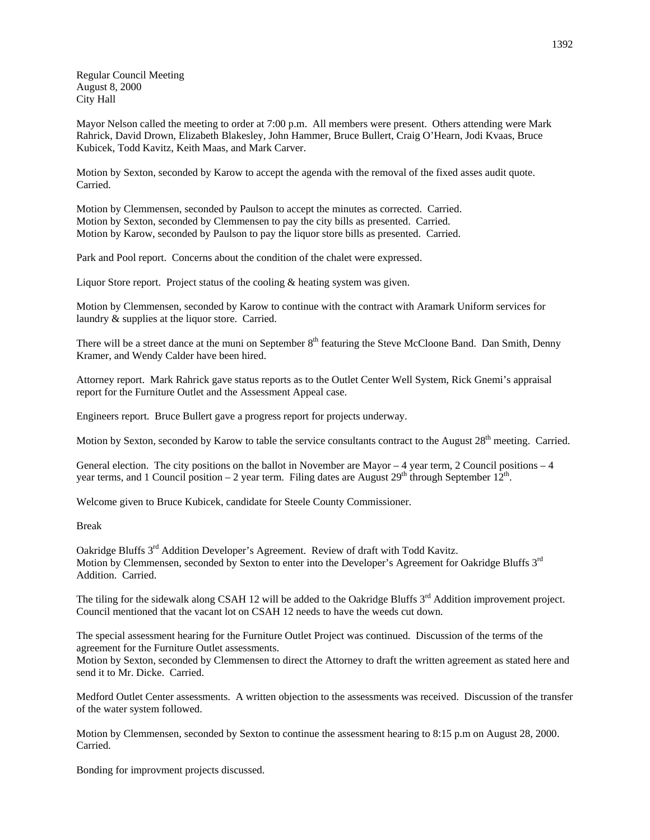Regular Council Meeting August 8, 2000 City Hall

Mayor Nelson called the meeting to order at 7:00 p.m. All members were present. Others attending were Mark Rahrick, David Drown, Elizabeth Blakesley, John Hammer, Bruce Bullert, Craig O'Hearn, Jodi Kvaas, Bruce Kubicek, Todd Kavitz, Keith Maas, and Mark Carver.

Motion by Sexton, seconded by Karow to accept the agenda with the removal of the fixed asses audit quote. Carried.

Motion by Clemmensen, seconded by Paulson to accept the minutes as corrected. Carried. Motion by Sexton, seconded by Clemmensen to pay the city bills as presented. Carried. Motion by Karow, seconded by Paulson to pay the liquor store bills as presented. Carried.

Park and Pool report. Concerns about the condition of the chalet were expressed.

Liquor Store report. Project status of the cooling & heating system was given.

Motion by Clemmensen, seconded by Karow to continue with the contract with Aramark Uniform services for laundry & supplies at the liquor store. Carried.

There will be a street dance at the muni on September 8<sup>th</sup> featuring the Steve McCloone Band. Dan Smith, Denny Kramer, and Wendy Calder have been hired.

Attorney report. Mark Rahrick gave status reports as to the Outlet Center Well System, Rick Gnemi's appraisal report for the Furniture Outlet and the Assessment Appeal case.

Engineers report. Bruce Bullert gave a progress report for projects underway.

Motion by Sexton, seconded by Karow to table the service consultants contract to the August  $28<sup>th</sup>$  meeting. Carried.

General election. The city positions on the ballot in November are Mayor  $-4$  year term, 2 Council positions  $-4$ year terms, and 1 Council position – 2 year term. Filing dates are August  $29<sup>th</sup>$  through September  $12<sup>th</sup>$ .

Welcome given to Bruce Kubicek, candidate for Steele County Commissioner.

Break

Oakridge Bluffs 3rd Addition Developer's Agreement. Review of draft with Todd Kavitz. Motion by Clemmensen, seconded by Sexton to enter into the Developer's Agreement for Oakridge Bluffs 3<sup>rd</sup> Addition. Carried.

The tiling for the sidewalk along CSAH 12 will be added to the Oakridge Bluffs 3<sup>rd</sup> Addition improvement project. Council mentioned that the vacant lot on CSAH 12 needs to have the weeds cut down.

The special assessment hearing for the Furniture Outlet Project was continued. Discussion of the terms of the agreement for the Furniture Outlet assessments.

Motion by Sexton, seconded by Clemmensen to direct the Attorney to draft the written agreement as stated here and send it to Mr. Dicke. Carried.

Medford Outlet Center assessments. A written objection to the assessments was received. Discussion of the transfer of the water system followed.

Motion by Clemmensen, seconded by Sexton to continue the assessment hearing to 8:15 p.m on August 28, 2000. Carried.

Bonding for improvment projects discussed.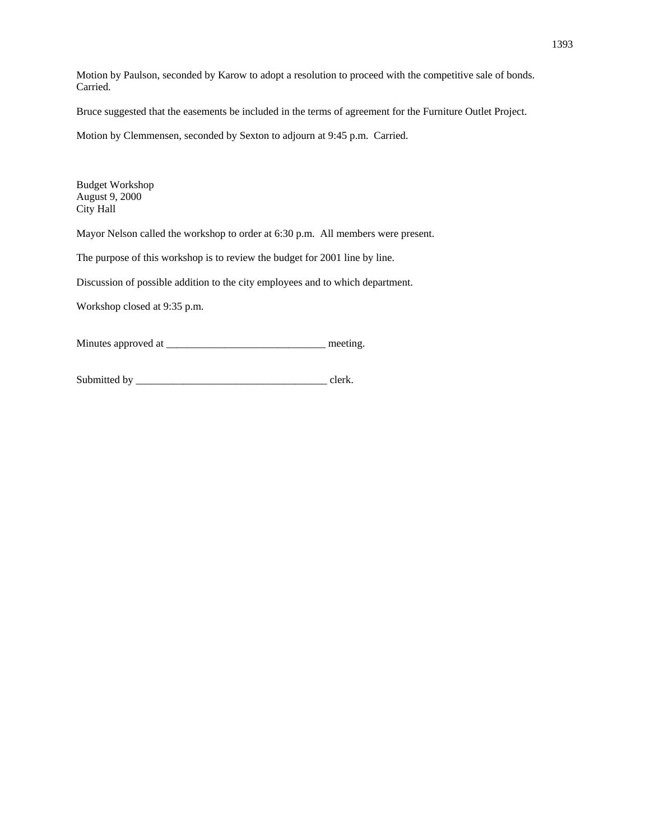Motion by Paulson, seconded by Karow to adopt a resolution to proceed with the competitive sale of bonds. Carried.

Bruce suggested that the easements be included in the terms of agreement for the Furniture Outlet Project.

Motion by Clemmensen, seconded by Sexton to adjourn at 9:45 p.m. Carried.

Budget Workshop August 9, 2000 City Hall

Mayor Nelson called the workshop to order at 6:30 p.m. All members were present.

The purpose of this workshop is to review the budget for 2001 line by line.

Discussion of possible addition to the city employees and to which department.

Workshop closed at 9:35 p.m.

Minutes approved at \_\_\_\_\_\_\_\_\_\_\_\_\_\_\_\_\_\_\_\_\_\_\_\_\_\_\_\_\_\_ meeting.

Submitted by \_\_\_\_\_\_\_\_\_\_\_\_\_\_\_\_\_\_\_\_\_\_\_\_\_\_\_\_\_\_\_\_\_\_\_\_ clerk.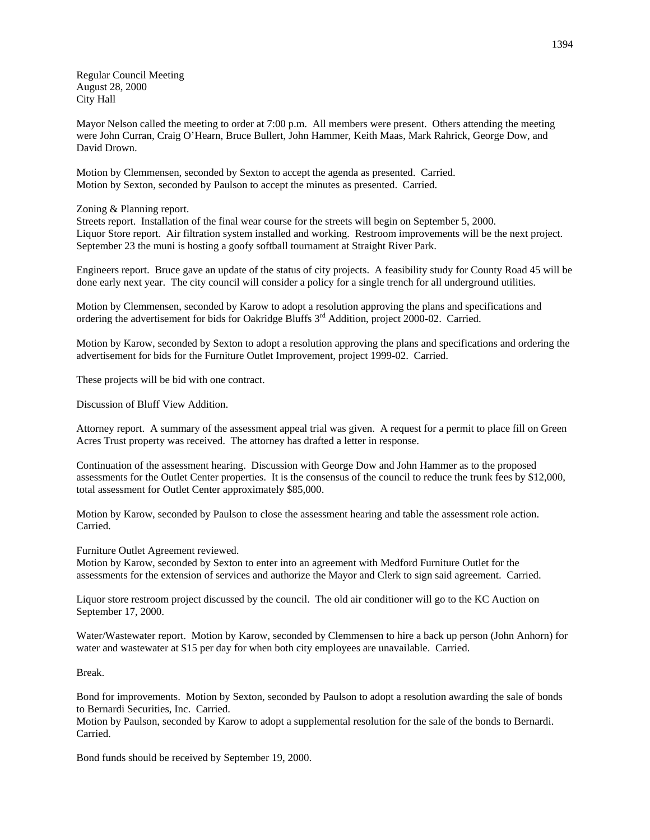Regular Council Meeting August 28, 2000 City Hall

Mayor Nelson called the meeting to order at 7:00 p.m. All members were present. Others attending the meeting were John Curran, Craig O'Hearn, Bruce Bullert, John Hammer, Keith Maas, Mark Rahrick, George Dow, and David Drown.

Motion by Clemmensen, seconded by Sexton to accept the agenda as presented. Carried. Motion by Sexton, seconded by Paulson to accept the minutes as presented. Carried.

## Zoning & Planning report.

Streets report. Installation of the final wear course for the streets will begin on September 5, 2000. Liquor Store report. Air filtration system installed and working. Restroom improvements will be the next project. September 23 the muni is hosting a goofy softball tournament at Straight River Park.

Engineers report. Bruce gave an update of the status of city projects. A feasibility study for County Road 45 will be done early next year. The city council will consider a policy for a single trench for all underground utilities.

Motion by Clemmensen, seconded by Karow to adopt a resolution approving the plans and specifications and ordering the advertisement for bids for Oakridge Bluffs 3rd Addition, project 2000-02. Carried.

Motion by Karow, seconded by Sexton to adopt a resolution approving the plans and specifications and ordering the advertisement for bids for the Furniture Outlet Improvement, project 1999-02. Carried.

These projects will be bid with one contract.

Discussion of Bluff View Addition.

Attorney report. A summary of the assessment appeal trial was given. A request for a permit to place fill on Green Acres Trust property was received. The attorney has drafted a letter in response.

Continuation of the assessment hearing. Discussion with George Dow and John Hammer as to the proposed assessments for the Outlet Center properties. It is the consensus of the council to reduce the trunk fees by \$12,000, total assessment for Outlet Center approximately \$85,000.

Motion by Karow, seconded by Paulson to close the assessment hearing and table the assessment role action. Carried.

Furniture Outlet Agreement reviewed.

Motion by Karow, seconded by Sexton to enter into an agreement with Medford Furniture Outlet for the assessments for the extension of services and authorize the Mayor and Clerk to sign said agreement. Carried.

Liquor store restroom project discussed by the council. The old air conditioner will go to the KC Auction on September 17, 2000.

Water/Wastewater report. Motion by Karow, seconded by Clemmensen to hire a back up person (John Anhorn) for water and wastewater at \$15 per day for when both city employees are unavailable. Carried.

Break.

Bond for improvements. Motion by Sexton, seconded by Paulson to adopt a resolution awarding the sale of bonds to Bernardi Securities, Inc. Carried.

Motion by Paulson, seconded by Karow to adopt a supplemental resolution for the sale of the bonds to Bernardi. Carried.

Bond funds should be received by September 19, 2000.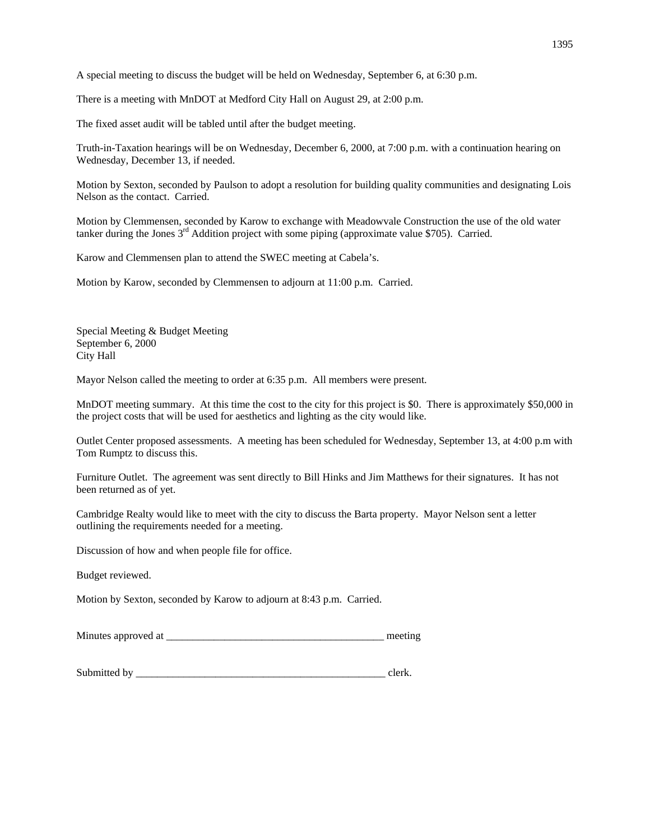A special meeting to discuss the budget will be held on Wednesday, September 6, at 6:30 p.m.

There is a meeting with MnDOT at Medford City Hall on August 29, at 2:00 p.m.

The fixed asset audit will be tabled until after the budget meeting.

Truth-in-Taxation hearings will be on Wednesday, December 6, 2000, at 7:00 p.m. with a continuation hearing on Wednesday, December 13, if needed.

Motion by Sexton, seconded by Paulson to adopt a resolution for building quality communities and designating Lois Nelson as the contact. Carried.

Motion by Clemmensen, seconded by Karow to exchange with Meadowvale Construction the use of the old water tanker during the Jones  $3<sup>rd</sup>$  Addition project with some piping (approximate value \$705). Carried.

Karow and Clemmensen plan to attend the SWEC meeting at Cabela's.

Motion by Karow, seconded by Clemmensen to adjourn at 11:00 p.m. Carried.

Special Meeting & Budget Meeting September 6, 2000 City Hall

Mayor Nelson called the meeting to order at 6:35 p.m. All members were present.

MnDOT meeting summary. At this time the cost to the city for this project is \$0. There is approximately \$50,000 in the project costs that will be used for aesthetics and lighting as the city would like.

Outlet Center proposed assessments. A meeting has been scheduled for Wednesday, September 13, at 4:00 p.m with Tom Rumptz to discuss this.

Furniture Outlet. The agreement was sent directly to Bill Hinks and Jim Matthews for their signatures. It has not been returned as of yet.

Cambridge Realty would like to meet with the city to discuss the Barta property. Mayor Nelson sent a letter outlining the requirements needed for a meeting.

Discussion of how and when people file for office.

Budget reviewed.

Motion by Sexton, seconded by Karow to adjourn at 8:43 p.m. Carried.

Minutes approved at \_\_\_\_\_\_\_\_\_\_\_\_\_\_\_\_\_\_\_\_\_\_\_\_\_\_\_\_\_\_\_\_\_\_\_\_\_\_\_\_\_ meeting

Submitted by clerk.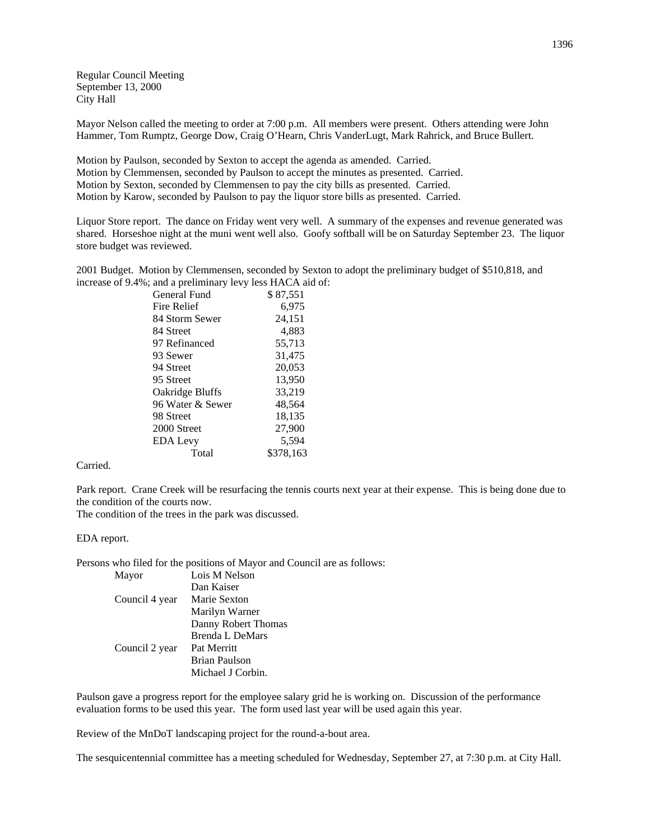Regular Council Meeting September 13, 2000 City Hall

Mayor Nelson called the meeting to order at 7:00 p.m. All members were present. Others attending were John Hammer, Tom Rumptz, George Dow, Craig O'Hearn, Chris VanderLugt, Mark Rahrick, and Bruce Bullert.

Motion by Paulson, seconded by Sexton to accept the agenda as amended. Carried. Motion by Clemmensen, seconded by Paulson to accept the minutes as presented. Carried. Motion by Sexton, seconded by Clemmensen to pay the city bills as presented. Carried. Motion by Karow, seconded by Paulson to pay the liquor store bills as presented. Carried.

Liquor Store report. The dance on Friday went very well. A summary of the expenses and revenue generated was shared. Horseshoe night at the muni went well also. Goofy softball will be on Saturday September 23. The liquor store budget was reviewed.

2001 Budget. Motion by Clemmensen, seconded by Sexton to adopt the preliminary budget of \$510,818, and increase of 9.4%; and a preliminary levy less HACA aid of:

| General Fund     | \$87.551  |
|------------------|-----------|
| Fire Relief      | 6.975     |
| 84 Storm Sewer   | 24,151    |
| 84 Street        | 4.883     |
| 97 Refinanced    | 55,713    |
| 93 Sewer         | 31,475    |
| 94 Street        | 20,053    |
| 95 Street        | 13,950    |
| Oakridge Bluffs  | 33.219    |
| 96 Water & Sewer | 48,564    |
| 98 Street        | 18,135    |
| 2000 Street      | 27,900    |
| <b>EDA Levy</b>  | 5.594     |
| Total            | \$378.163 |
|                  |           |

Carried.

Park report. Crane Creek will be resurfacing the tennis courts next year at their expense. This is being done due to the condition of the courts now.

The condition of the trees in the park was discussed.

EDA report.

Persons who filed for the positions of Mayor and Council are as follows:

| Mayor          | Lois M Nelson          |
|----------------|------------------------|
|                | Dan Kaiser             |
| Council 4 year | Marie Sexton           |
|                | Marilyn Warner         |
|                | Danny Robert Thomas    |
|                | <b>Brenda L DeMars</b> |
| Council 2 year | Pat Merritt            |
|                | Brian Paulson          |
|                | Michael J Corbin.      |
|                |                        |

Paulson gave a progress report for the employee salary grid he is working on. Discussion of the performance evaluation forms to be used this year. The form used last year will be used again this year.

Review of the MnDoT landscaping project for the round-a-bout area.

The sesquicentennial committee has a meeting scheduled for Wednesday, September 27, at 7:30 p.m. at City Hall.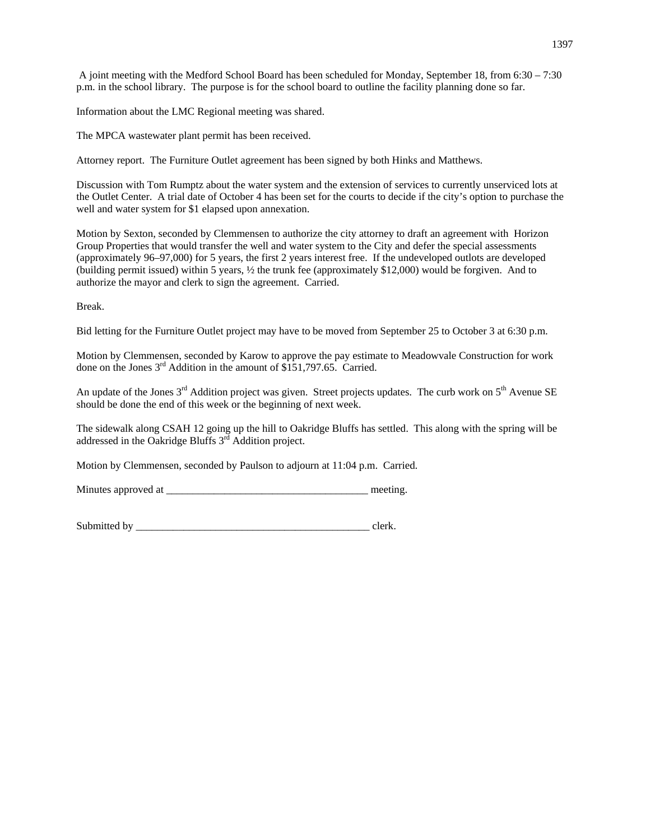A joint meeting with the Medford School Board has been scheduled for Monday, September 18, from 6:30 – 7:30 p.m. in the school library. The purpose is for the school board to outline the facility planning done so far.

Information about the LMC Regional meeting was shared.

The MPCA wastewater plant permit has been received.

Attorney report. The Furniture Outlet agreement has been signed by both Hinks and Matthews.

Discussion with Tom Rumptz about the water system and the extension of services to currently unserviced lots at the Outlet Center. A trial date of October 4 has been set for the courts to decide if the city's option to purchase the well and water system for \$1 elapsed upon annexation.

Motion by Sexton, seconded by Clemmensen to authorize the city attorney to draft an agreement with Horizon Group Properties that would transfer the well and water system to the City and defer the special assessments (approximately 96–97,000) for 5 years, the first 2 years interest free. If the undeveloped outlots are developed (building permit issued) within 5 years, ½ the trunk fee (approximately \$12,000) would be forgiven. And to authorize the mayor and clerk to sign the agreement. Carried.

Break.

Bid letting for the Furniture Outlet project may have to be moved from September 25 to October 3 at 6:30 p.m.

Motion by Clemmensen, seconded by Karow to approve the pay estimate to Meadowvale Construction for work done on the Jones 3<sup>rd</sup> Addition in the amount of \$151,797.65. Carried.

An update of the Jones  $3<sup>rd</sup>$  Addition project was given. Street projects updates. The curb work on  $5<sup>th</sup>$  Avenue SE should be done the end of this week or the beginning of next week.

The sidewalk along CSAH 12 going up the hill to Oakridge Bluffs has settled. This along with the spring will be addressed in the Oakridge Bluffs 3rd Addition project.

Motion by Clemmensen, seconded by Paulson to adjourn at 11:04 p.m. Carried.

Minutes approved at  $\Box$ 

Submitted by example of the state of the state of the state of the state of the state of the state of the state of the state of the state of the state of the state of the state of the state of the state of the state of the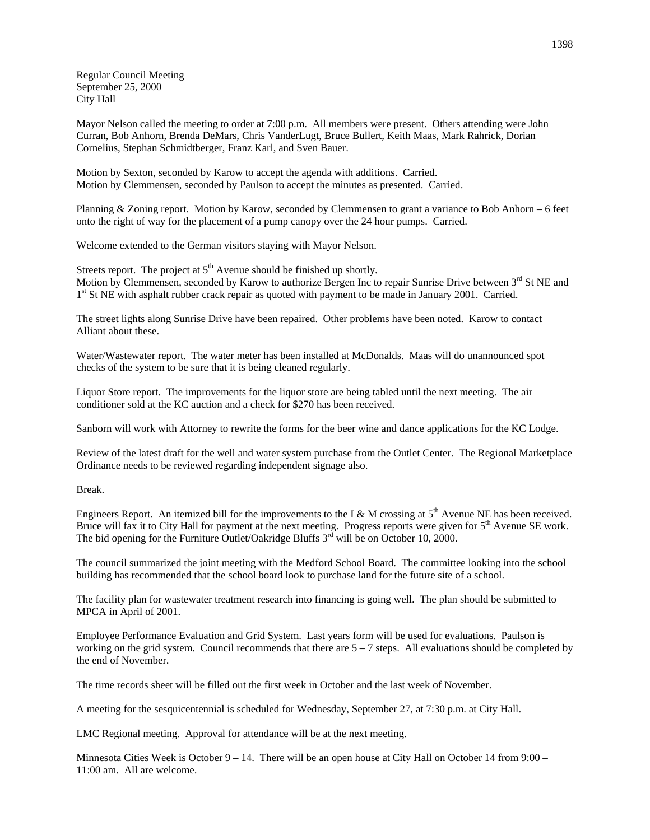Regular Council Meeting September 25, 2000 City Hall

Mayor Nelson called the meeting to order at 7:00 p.m. All members were present. Others attending were John Curran, Bob Anhorn, Brenda DeMars, Chris VanderLugt, Bruce Bullert, Keith Maas, Mark Rahrick, Dorian Cornelius, Stephan Schmidtberger, Franz Karl, and Sven Bauer.

Motion by Sexton, seconded by Karow to accept the agenda with additions. Carried. Motion by Clemmensen, seconded by Paulson to accept the minutes as presented. Carried.

Planning & Zoning report. Motion by Karow, seconded by Clemmensen to grant a variance to Bob Anhorn – 6 feet onto the right of way for the placement of a pump canopy over the 24 hour pumps. Carried.

Welcome extended to the German visitors staying with Mayor Nelson.

Streets report. The project at  $5<sup>th</sup>$  Avenue should be finished up shortly. Motion by Clemmensen, seconded by Karow to authorize Bergen Inc to repair Sunrise Drive between 3<sup>rd</sup> St NE and 1<sup>st</sup> St NE with asphalt rubber crack repair as quoted with payment to be made in January 2001. Carried.

The street lights along Sunrise Drive have been repaired. Other problems have been noted. Karow to contact Alliant about these.

Water/Wastewater report. The water meter has been installed at McDonalds. Maas will do unannounced spot checks of the system to be sure that it is being cleaned regularly.

Liquor Store report. The improvements for the liquor store are being tabled until the next meeting. The air conditioner sold at the KC auction and a check for \$270 has been received.

Sanborn will work with Attorney to rewrite the forms for the beer wine and dance applications for the KC Lodge.

Review of the latest draft for the well and water system purchase from the Outlet Center. The Regional Marketplace Ordinance needs to be reviewed regarding independent signage also.

Break.

Engineers Report. An itemized bill for the improvements to the I & M crossing at  $5<sup>th</sup>$  Avenue NE has been received. Bruce will fax it to City Hall for payment at the next meeting. Progress reports were given for  $5<sup>th</sup>$  Avenue SE work. The bid opening for the Furniture Outlet/Oakridge Bluffs  $3<sup>rd</sup>$  will be on October 10, 2000.

The council summarized the joint meeting with the Medford School Board. The committee looking into the school building has recommended that the school board look to purchase land for the future site of a school.

The facility plan for wastewater treatment research into financing is going well. The plan should be submitted to MPCA in April of 2001.

Employee Performance Evaluation and Grid System. Last years form will be used for evaluations. Paulson is working on the grid system. Council recommends that there are  $5 - 7$  steps. All evaluations should be completed by the end of November.

The time records sheet will be filled out the first week in October and the last week of November.

A meeting for the sesquicentennial is scheduled for Wednesday, September 27, at 7:30 p.m. at City Hall.

LMC Regional meeting. Approval for attendance will be at the next meeting.

Minnesota Cities Week is October  $9 - 14$ . There will be an open house at City Hall on October 14 from  $9:00 -$ 11:00 am. All are welcome.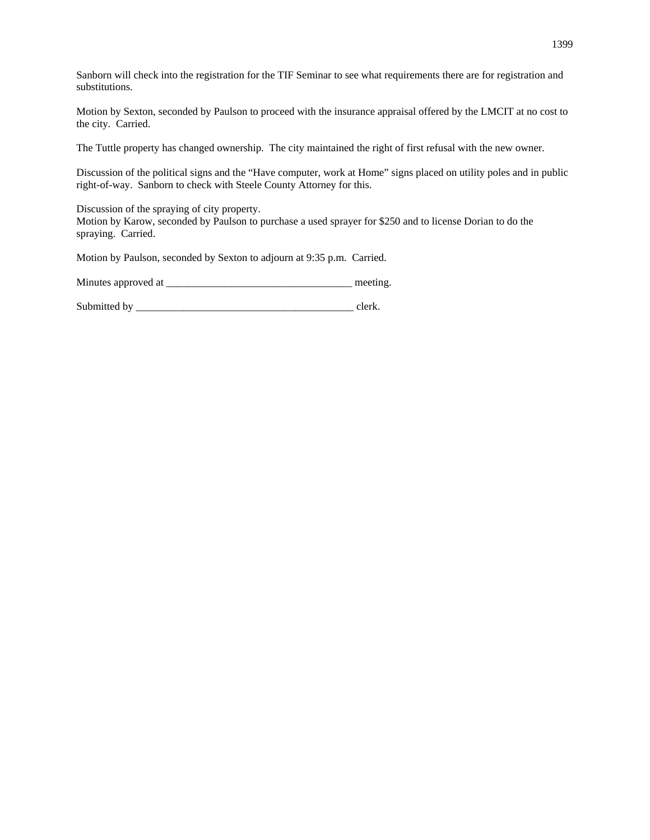Sanborn will check into the registration for the TIF Seminar to see what requirements there are for registration and substitutions.

Motion by Sexton, seconded by Paulson to proceed with the insurance appraisal offered by the LMCIT at no cost to the city. Carried.

The Tuttle property has changed ownership. The city maintained the right of first refusal with the new owner.

Discussion of the political signs and the "Have computer, work at Home" signs placed on utility poles and in public right-of-way. Sanborn to check with Steele County Attorney for this.

Discussion of the spraying of city property.

Motion by Karow, seconded by Paulson to purchase a used sprayer for \$250 and to license Dorian to do the spraying. Carried.

Motion by Paulson, seconded by Sexton to adjourn at 9:35 p.m. Carried.

Minutes approved at \_\_\_\_\_\_\_\_\_\_\_\_\_\_\_\_\_\_\_\_\_\_\_\_\_\_\_\_\_\_\_\_\_\_\_ meeting.

Submitted by \_\_\_\_\_\_\_\_\_\_\_\_\_\_\_\_\_\_\_\_\_\_\_\_\_\_\_\_\_\_\_\_\_\_\_\_\_\_\_\_\_ clerk.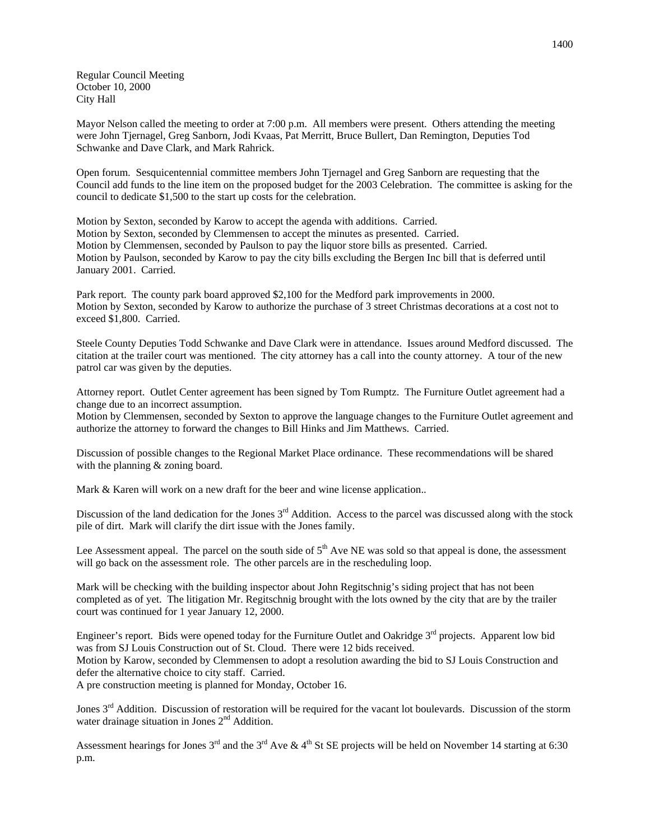Regular Council Meeting October 10, 2000 City Hall

Mayor Nelson called the meeting to order at 7:00 p.m. All members were present. Others attending the meeting were John Tjernagel, Greg Sanborn, Jodi Kvaas, Pat Merritt, Bruce Bullert, Dan Remington, Deputies Tod Schwanke and Dave Clark, and Mark Rahrick.

Open forum. Sesquicentennial committee members John Tjernagel and Greg Sanborn are requesting that the Council add funds to the line item on the proposed budget for the 2003 Celebration. The committee is asking for the council to dedicate \$1,500 to the start up costs for the celebration.

Motion by Sexton, seconded by Karow to accept the agenda with additions. Carried. Motion by Sexton, seconded by Clemmensen to accept the minutes as presented. Carried. Motion by Clemmensen, seconded by Paulson to pay the liquor store bills as presented. Carried. Motion by Paulson, seconded by Karow to pay the city bills excluding the Bergen Inc bill that is deferred until January 2001. Carried.

Park report. The county park board approved \$2,100 for the Medford park improvements in 2000. Motion by Sexton, seconded by Karow to authorize the purchase of 3 street Christmas decorations at a cost not to exceed \$1,800. Carried.

Steele County Deputies Todd Schwanke and Dave Clark were in attendance. Issues around Medford discussed. The citation at the trailer court was mentioned. The city attorney has a call into the county attorney. A tour of the new patrol car was given by the deputies.

Attorney report. Outlet Center agreement has been signed by Tom Rumptz. The Furniture Outlet agreement had a change due to an incorrect assumption.

Motion by Clemmensen, seconded by Sexton to approve the language changes to the Furniture Outlet agreement and authorize the attorney to forward the changes to Bill Hinks and Jim Matthews. Carried.

Discussion of possible changes to the Regional Market Place ordinance. These recommendations will be shared with the planning  $&$  zoning board.

Mark & Karen will work on a new draft for the beer and wine license application..

Discussion of the land dedication for the Jones  $3<sup>rd</sup>$  Addition. Access to the parcel was discussed along with the stock pile of dirt. Mark will clarify the dirt issue with the Jones family.

Lee Assessment appeal. The parcel on the south side of  $5<sup>th</sup>$  Ave NE was sold so that appeal is done, the assessment will go back on the assessment role. The other parcels are in the rescheduling loop.

Mark will be checking with the building inspector about John Regitschnig's siding project that has not been completed as of yet. The litigation Mr. Regitschnig brought with the lots owned by the city that are by the trailer court was continued for 1 year January 12, 2000.

Engineer's report. Bids were opened today for the Furniture Outlet and Oakridge 3<sup>rd</sup> projects. Apparent low bid was from SJ Louis Construction out of St. Cloud. There were 12 bids received. Motion by Karow, seconded by Clemmensen to adopt a resolution awarding the bid to SJ Louis Construction and defer the alternative choice to city staff. Carried. A pre construction meeting is planned for Monday, October 16.

Jones 3<sup>rd</sup> Addition. Discussion of restoration will be required for the vacant lot boulevards. Discussion of the storm water drainage situation in Jones  $2<sup>nd</sup>$  Addition.

Assessment hearings for Jones  $3^{rd}$  and the  $3^{rd}$  Ave &  $4^{th}$  St SE projects will be held on November 14 starting at 6:30 p.m.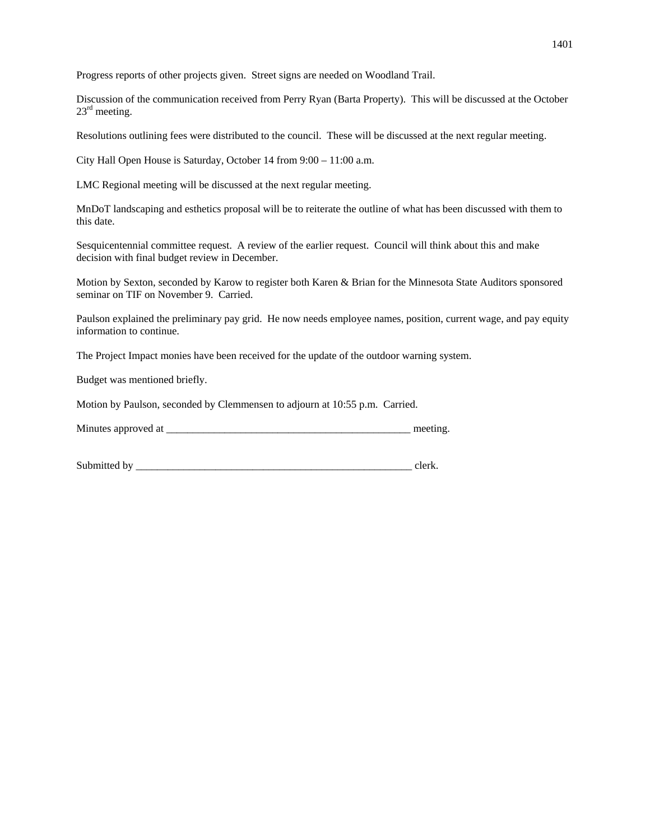Progress reports of other projects given. Street signs are needed on Woodland Trail.

Discussion of the communication received from Perry Ryan (Barta Property). This will be discussed at the October  $23<sup>rd</sup>$  meeting.

Resolutions outlining fees were distributed to the council. These will be discussed at the next regular meeting.

City Hall Open House is Saturday, October 14 from 9:00 – 11:00 a.m.

LMC Regional meeting will be discussed at the next regular meeting.

MnDoT landscaping and esthetics proposal will be to reiterate the outline of what has been discussed with them to this date.

Sesquicentennial committee request. A review of the earlier request. Council will think about this and make decision with final budget review in December.

Motion by Sexton, seconded by Karow to register both Karen & Brian for the Minnesota State Auditors sponsored seminar on TIF on November 9. Carried.

Paulson explained the preliminary pay grid. He now needs employee names, position, current wage, and pay equity information to continue.

The Project Impact monies have been received for the update of the outdoor warning system.

Budget was mentioned briefly.

Motion by Paulson, seconded by Clemmensen to adjourn at 10:55 p.m. Carried.

| Minutes approved at |  |  |
|---------------------|--|--|
|---------------------|--|--|

| Submitted<br>h |  |
|----------------|--|
|                |  |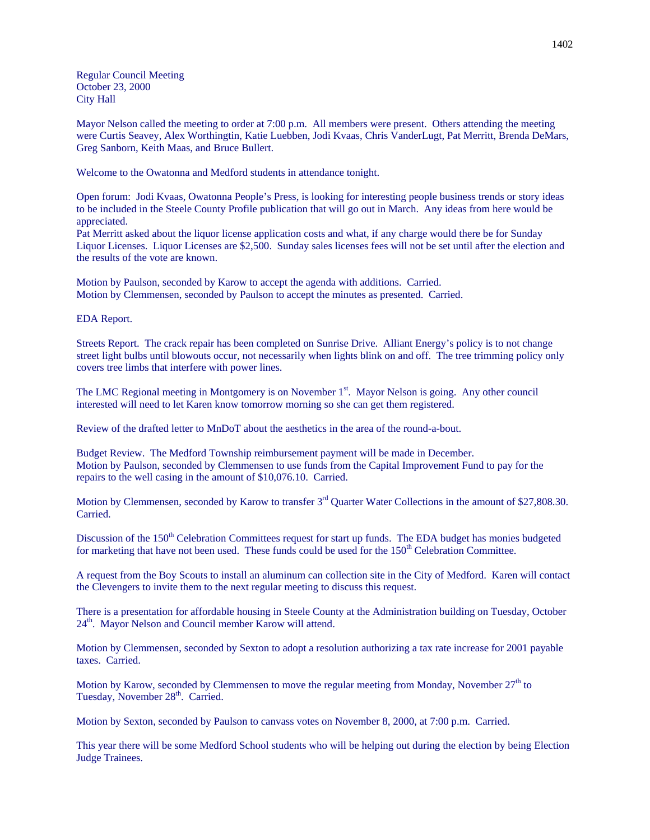Regular Council Meeting October 23, 2000 City Hall

Mayor Nelson called the meeting to order at 7:00 p.m. All members were present. Others attending the meeting were Curtis Seavey, Alex Worthingtin, Katie Luebben, Jodi Kvaas, Chris VanderLugt, Pat Merritt, Brenda DeMars, Greg Sanborn, Keith Maas, and Bruce Bullert.

Welcome to the Owatonna and Medford students in attendance tonight.

Open forum: Jodi Kvaas, Owatonna People's Press, is looking for interesting people business trends or story ideas to be included in the Steele County Profile publication that will go out in March. Any ideas from here would be appreciated.

Pat Merritt asked about the liquor license application costs and what, if any charge would there be for Sunday Liquor Licenses. Liquor Licenses are \$2,500. Sunday sales licenses fees will not be set until after the election and the results of the vote are known.

Motion by Paulson, seconded by Karow to accept the agenda with additions. Carried. Motion by Clemmensen, seconded by Paulson to accept the minutes as presented. Carried.

### EDA Report.

Streets Report. The crack repair has been completed on Sunrise Drive. Alliant Energy's policy is to not change street light bulbs until blowouts occur, not necessarily when lights blink on and off. The tree trimming policy only covers tree limbs that interfere with power lines.

The LMC Regional meeting in Montgomery is on November 1<sup>st</sup>. Mayor Nelson is going. Any other council interested will need to let Karen know tomorrow morning so she can get them registered.

Review of the drafted letter to MnDoT about the aesthetics in the area of the round-a-bout.

Budget Review. The Medford Township reimbursement payment will be made in December. Motion by Paulson, seconded by Clemmensen to use funds from the Capital Improvement Fund to pay for the repairs to the well casing in the amount of \$10,076.10. Carried.

Motion by Clemmensen, seconded by Karow to transfer 3<sup>rd</sup> Quarter Water Collections in the amount of \$27,808.30. Carried.

Discussion of the 150<sup>th</sup> Celebration Committees request for start up funds. The EDA budget has monies budgeted for marketing that have not been used. These funds could be used for the 150<sup>th</sup> Celebration Committee.

A request from the Boy Scouts to install an aluminum can collection site in the City of Medford. Karen will contact the Clevengers to invite them to the next regular meeting to discuss this request.

There is a presentation for affordable housing in Steele County at the Administration building on Tuesday, October 24<sup>th</sup>. Mayor Nelson and Council member Karow will attend.

Motion by Clemmensen, seconded by Sexton to adopt a resolution authorizing a tax rate increase for 2001 payable taxes. Carried.

Motion by Karow, seconded by Clemmensen to move the regular meeting from Monday, November  $27<sup>th</sup>$  to Tuesday, November 28<sup>th</sup>. Carried.

Motion by Sexton, seconded by Paulson to canvass votes on November 8, 2000, at 7:00 p.m. Carried.

This year there will be some Medford School students who will be helping out during the election by being Election Judge Trainees.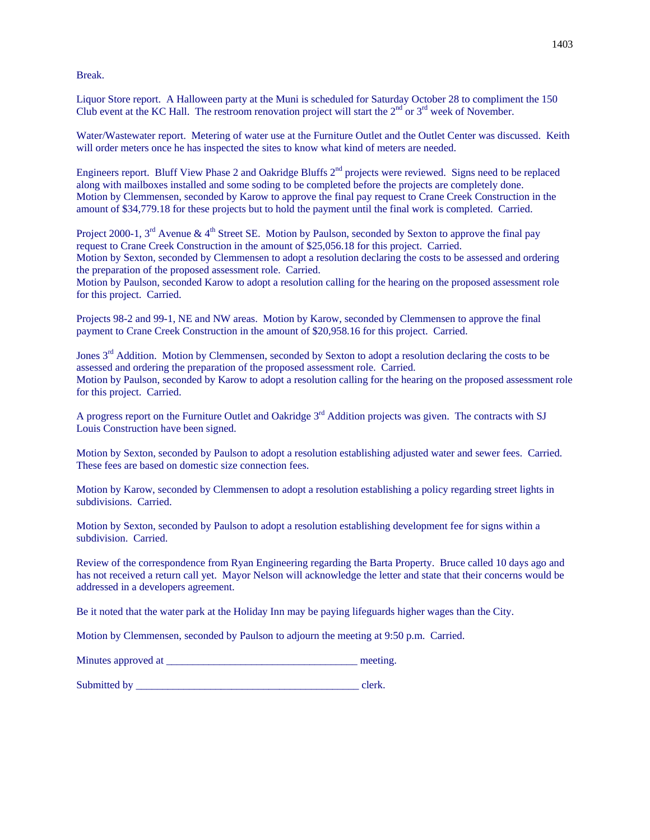Break.

Liquor Store report. A Halloween party at the Muni is scheduled for Saturday October 28 to compliment the 150 Club event at the KC Hall. The restroom renovation project will start the  $2<sup>nd</sup>$  or  $3<sup>rd</sup>$  week of November.

Water/Wastewater report. Metering of water use at the Furniture Outlet and the Outlet Center was discussed. Keith will order meters once he has inspected the sites to know what kind of meters are needed.

Engineers report. Bluff View Phase 2 and Oakridge Bluffs 2nd projects were reviewed. Signs need to be replaced along with mailboxes installed and some soding to be completed before the projects are completely done. Motion by Clemmensen, seconded by Karow to approve the final pay request to Crane Creek Construction in the amount of \$34,779.18 for these projects but to hold the payment until the final work is completed. Carried.

Project 2000-1,  $3^{\text{rd}}$  Avenue &  $4^{\text{th}}$  Street SE. Motion by Paulson, seconded by Sexton to approve the final pay request to Crane Creek Construction in the amount of \$25,056.18 for this project. Carried. Motion by Sexton, seconded by Clemmensen to adopt a resolution declaring the costs to be assessed and ordering the preparation of the proposed assessment role. Carried.

Motion by Paulson, seconded Karow to adopt a resolution calling for the hearing on the proposed assessment role for this project. Carried.

Projects 98-2 and 99-1, NE and NW areas. Motion by Karow, seconded by Clemmensen to approve the final payment to Crane Creek Construction in the amount of \$20,958.16 for this project. Carried.

Jones 3<sup>rd</sup> Addition. Motion by Clemmensen, seconded by Sexton to adopt a resolution declaring the costs to be assessed and ordering the preparation of the proposed assessment role. Carried. Motion by Paulson, seconded by Karow to adopt a resolution calling for the hearing on the proposed assessment role for this project. Carried.

A progress report on the Furniture Outlet and Oakridge 3<sup>rd</sup> Addition projects was given. The contracts with SJ Louis Construction have been signed.

Motion by Sexton, seconded by Paulson to adopt a resolution establishing adjusted water and sewer fees. Carried. These fees are based on domestic size connection fees.

Motion by Karow, seconded by Clemmensen to adopt a resolution establishing a policy regarding street lights in subdivisions. Carried.

Motion by Sexton, seconded by Paulson to adopt a resolution establishing development fee for signs within a subdivision. Carried.

Review of the correspondence from Ryan Engineering regarding the Barta Property. Bruce called 10 days ago and has not received a return call yet. Mayor Nelson will acknowledge the letter and state that their concerns would be addressed in a developers agreement.

Be it noted that the water park at the Holiday Inn may be paying lifeguards higher wages than the City.

Motion by Clemmensen, seconded by Paulson to adjourn the meeting at 9:50 p.m. Carried.

| Minutes approved at | meeting. |
|---------------------|----------|
|                     |          |

Submitted by  $\Box$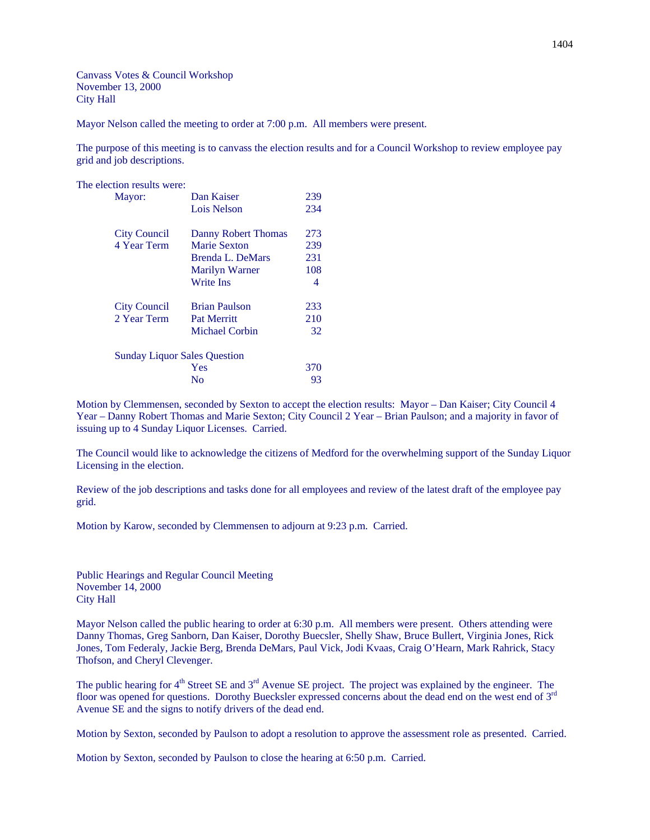Canvass Votes & Council Workshop November 13, 2000 City Hall

Mayor Nelson called the meeting to order at 7:00 p.m. All members were present.

The purpose of this meeting is to canvass the election results and for a Council Workshop to review employee pay grid and job descriptions.

The election results were:

| Mayor:                              | Dan Kaiser           | 239 |
|-------------------------------------|----------------------|-----|
|                                     | Lois Nelson          | 234 |
| <b>City Council</b>                 | Danny Robert Thomas  | 273 |
| 4 Year Term                         | <b>Marie Sexton</b>  | 239 |
|                                     | Brenda L. DeMars     | 231 |
|                                     | Marilyn Warner       | 108 |
|                                     | <b>Write Ins</b>     | 4   |
| <b>City Council</b>                 | <b>Brian Paulson</b> | 233 |
| 2 Year Term                         | <b>Pat Merritt</b>   | 210 |
|                                     | Michael Corbin       | 32  |
| <b>Sunday Liquor Sales Question</b> |                      |     |
|                                     | Yes                  | 370 |
|                                     | No                   | 93  |
|                                     |                      |     |

Motion by Clemmensen, seconded by Sexton to accept the election results: Mayor – Dan Kaiser; City Council 4 Year – Danny Robert Thomas and Marie Sexton; City Council 2 Year – Brian Paulson; and a majority in favor of issuing up to 4 Sunday Liquor Licenses. Carried.

The Council would like to acknowledge the citizens of Medford for the overwhelming support of the Sunday Liquor Licensing in the election.

Review of the job descriptions and tasks done for all employees and review of the latest draft of the employee pay grid.

Motion by Karow, seconded by Clemmensen to adjourn at 9:23 p.m. Carried.

Public Hearings and Regular Council Meeting November 14, 2000 City Hall

Mayor Nelson called the public hearing to order at 6:30 p.m. All members were present. Others attending were Danny Thomas, Greg Sanborn, Dan Kaiser, Dorothy Buecsler, Shelly Shaw, Bruce Bullert, Virginia Jones, Rick Jones, Tom Federaly, Jackie Berg, Brenda DeMars, Paul Vick, Jodi Kvaas, Craig O'Hearn, Mark Rahrick, Stacy Thofson, and Cheryl Clevenger.

The public hearing for 4<sup>th</sup> Street SE and 3<sup>rd</sup> Avenue SE project. The project was explained by the engineer. The floor was opened for questions. Dorothy Buecksler expressed concerns about the dead end on the west end of 3<sup>rd</sup> Avenue SE and the signs to notify drivers of the dead end.

Motion by Sexton, seconded by Paulson to adopt a resolution to approve the assessment role as presented. Carried.

Motion by Sexton, seconded by Paulson to close the hearing at 6:50 p.m. Carried.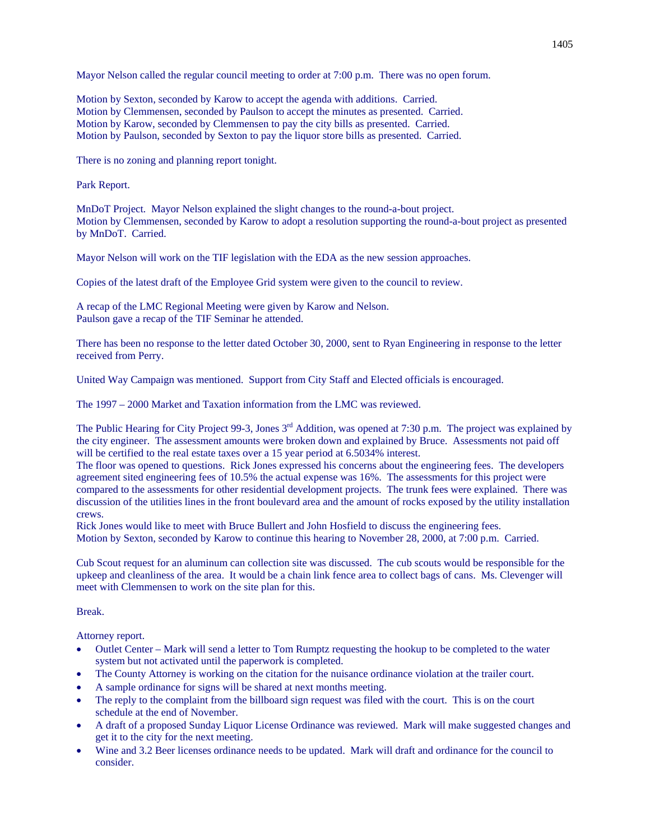Mayor Nelson called the regular council meeting to order at 7:00 p.m. There was no open forum.

Motion by Sexton, seconded by Karow to accept the agenda with additions. Carried. Motion by Clemmensen, seconded by Paulson to accept the minutes as presented. Carried. Motion by Karow, seconded by Clemmensen to pay the city bills as presented. Carried. Motion by Paulson, seconded by Sexton to pay the liquor store bills as presented. Carried.

There is no zoning and planning report tonight.

Park Report.

MnDoT Project. Mayor Nelson explained the slight changes to the round-a-bout project. Motion by Clemmensen, seconded by Karow to adopt a resolution supporting the round-a-bout project as presented by MnDoT. Carried.

Mayor Nelson will work on the TIF legislation with the EDA as the new session approaches.

Copies of the latest draft of the Employee Grid system were given to the council to review.

A recap of the LMC Regional Meeting were given by Karow and Nelson. Paulson gave a recap of the TIF Seminar he attended.

There has been no response to the letter dated October 30, 2000, sent to Ryan Engineering in response to the letter received from Perry.

United Way Campaign was mentioned. Support from City Staff and Elected officials is encouraged.

The 1997 – 2000 Market and Taxation information from the LMC was reviewed.

The Public Hearing for City Project 99-3, Jones 3<sup>rd</sup> Addition, was opened at 7:30 p.m. The project was explained by the city engineer. The assessment amounts were broken down and explained by Bruce. Assessments not paid off will be certified to the real estate taxes over a 15 year period at 6.5034% interest.

The floor was opened to questions. Rick Jones expressed his concerns about the engineering fees. The developers agreement sited engineering fees of 10.5% the actual expense was 16%. The assessments for this project were compared to the assessments for other residential development projects. The trunk fees were explained. There was discussion of the utilities lines in the front boulevard area and the amount of rocks exposed by the utility installation crews.

Rick Jones would like to meet with Bruce Bullert and John Hosfield to discuss the engineering fees. Motion by Sexton, seconded by Karow to continue this hearing to November 28, 2000, at 7:00 p.m. Carried.

Cub Scout request for an aluminum can collection site was discussed. The cub scouts would be responsible for the upkeep and cleanliness of the area. It would be a chain link fence area to collect bags of cans. Ms. Clevenger will meet with Clemmensen to work on the site plan for this.

Break.

Attorney report.

- Outlet Center Mark will send a letter to Tom Rumptz requesting the hookup to be completed to the water system but not activated until the paperwork is completed.
- The County Attorney is working on the citation for the nuisance ordinance violation at the trailer court.
- A sample ordinance for signs will be shared at next months meeting.
- The reply to the complaint from the billboard sign request was filed with the court. This is on the court schedule at the end of November.
- A draft of a proposed Sunday Liquor License Ordinance was reviewed. Mark will make suggested changes and get it to the city for the next meeting.
- Wine and 3.2 Beer licenses ordinance needs to be updated. Mark will draft and ordinance for the council to consider.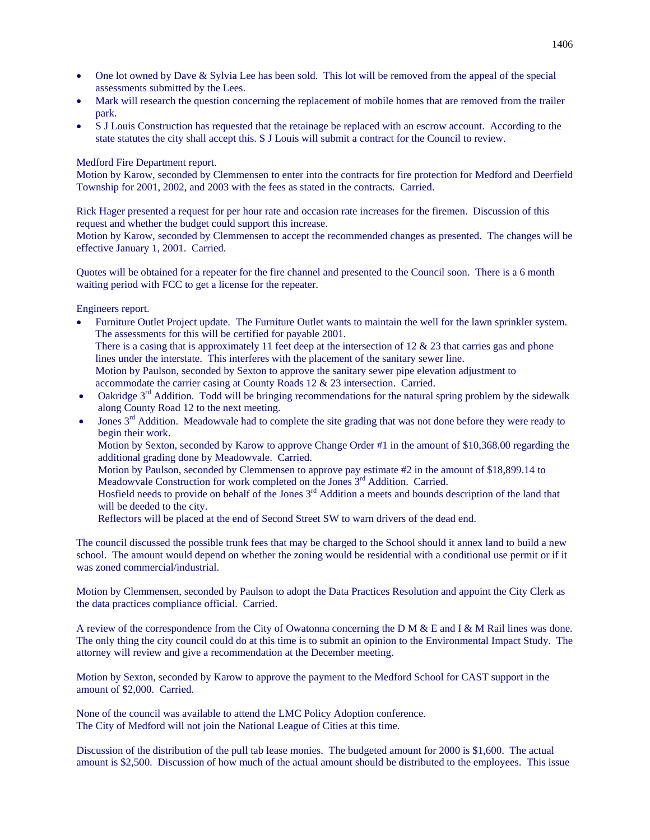- One lot owned by Dave & Sylvia Lee has been sold. This lot will be removed from the appeal of the special assessments submitted by the Lees.
- Mark will research the question concerning the replacement of mobile homes that are removed from the trailer park.
- S J Louis Construction has requested that the retainage be replaced with an escrow account. According to the state statutes the city shall accept this. S J Louis will submit a contract for the Council to review.

# Medford Fire Department report.

Motion by Karow, seconded by Clemmensen to enter into the contracts for fire protection for Medford and Deerfield Township for 2001, 2002, and 2003 with the fees as stated in the contracts. Carried.

Rick Hager presented a request for per hour rate and occasion rate increases for the firemen. Discussion of this request and whether the budget could support this increase.

Motion by Karow, seconded by Clemmensen to accept the recommended changes as presented. The changes will be effective January 1, 2001. Carried.

Quotes will be obtained for a repeater for the fire channel and presented to the Council soon. There is a 6 month waiting period with FCC to get a license for the repeater.

Engineers report.

- Furniture Outlet Project update. The Furniture Outlet wants to maintain the well for the lawn sprinkler system. The assessments for this will be certified for payable 2001. There is a casing that is approximately 11 feet deep at the intersection of  $12 \& 23$  that carries gas and phone lines under the interstate. This interferes with the placement of the sanitary sewer line. Motion by Paulson, seconded by Sexton to approve the sanitary sewer pipe elevation adjustment to accommodate the carrier casing at County Roads 12 & 23 intersection. Carried.
- Oakridge  $3<sup>rd</sup>$  Addition. Todd will be bringing recommendations for the natural spring problem by the sidewalk along County Road 12 to the next meeting.
- Jones 3<sup>rd</sup> Addition. Meadowvale had to complete the site grading that was not done before they were ready to begin their work.
	- Motion by Sexton, seconded by Karow to approve Change Order #1 in the amount of \$10,368.00 regarding the additional grading done by Meadowvale. Carried.
	- Motion by Paulson, seconded by Clemmensen to approve pay estimate #2 in the amount of \$18,899.14 to Meadowvale Construction for work completed on the Jones 3<sup>rd</sup> Addition. Carried.
	- Hosfield needs to provide on behalf of the Jones 3rd Addition a meets and bounds description of the land that will be deeded to the city.
	- Reflectors will be placed at the end of Second Street SW to warn drivers of the dead end.

The council discussed the possible trunk fees that may be charged to the School should it annex land to build a new school. The amount would depend on whether the zoning would be residential with a conditional use permit or if it was zoned commercial/industrial.

Motion by Clemmensen, seconded by Paulson to adopt the Data Practices Resolution and appoint the City Clerk as the data practices compliance official. Carried.

A review of the correspondence from the City of Owatonna concerning the D M & E and I & M Rail lines was done. The only thing the city council could do at this time is to submit an opinion to the Environmental Impact Study. The attorney will review and give a recommendation at the December meeting.

Motion by Sexton, seconded by Karow to approve the payment to the Medford School for CAST support in the amount of \$2,000. Carried.

None of the council was available to attend the LMC Policy Adoption conference. The City of Medford will not join the National League of Cities at this time.

Discussion of the distribution of the pull tab lease monies. The budgeted amount for 2000 is \$1,600. The actual amount is \$2,500. Discussion of how much of the actual amount should be distributed to the employees. This issue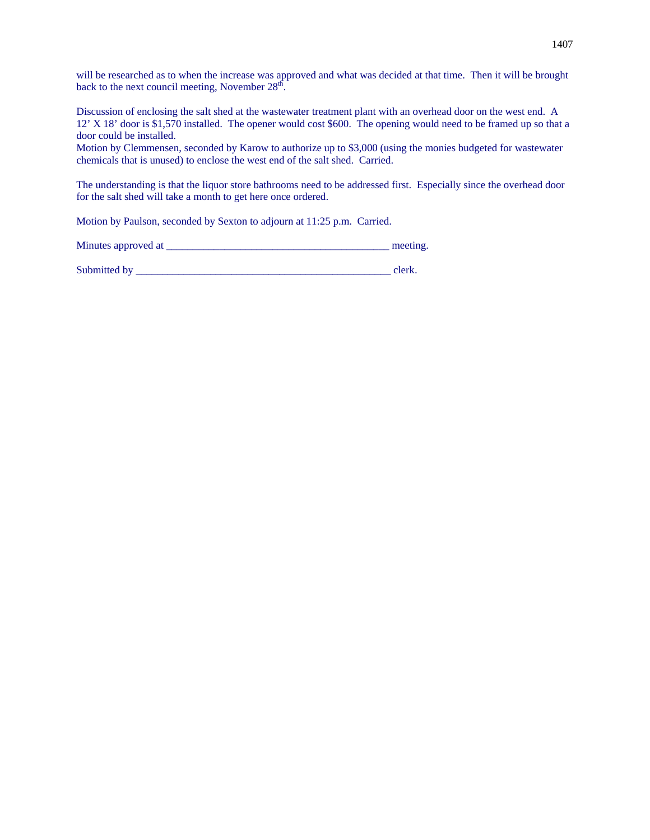will be researched as to when the increase was approved and what was decided at that time. Then it will be brought back to the next council meeting, November  $28<sup>th</sup>$ .

Discussion of enclosing the salt shed at the wastewater treatment plant with an overhead door on the west end. A 12' X 18' door is \$1,570 installed. The opener would cost \$600. The opening would need to be framed up so that a door could be installed.

Motion by Clemmensen, seconded by Karow to authorize up to \$3,000 (using the monies budgeted for wastewater chemicals that is unused) to enclose the west end of the salt shed. Carried.

The understanding is that the liquor store bathrooms need to be addressed first. Especially since the overhead door for the salt shed will take a month to get here once ordered.

Motion by Paulson, seconded by Sexton to adjourn at 11:25 p.m. Carried.

Minutes approved at \_\_\_\_\_\_\_\_\_\_\_\_\_\_\_\_\_\_\_\_\_\_\_\_\_\_\_\_\_\_\_\_\_\_\_\_\_\_\_\_\_\_ meeting.

Submitted by \_\_\_\_\_\_\_\_\_\_\_\_\_\_\_\_\_\_\_\_\_\_\_\_\_\_\_\_\_\_\_\_\_\_\_\_\_\_\_\_\_\_\_\_\_\_\_\_ clerk.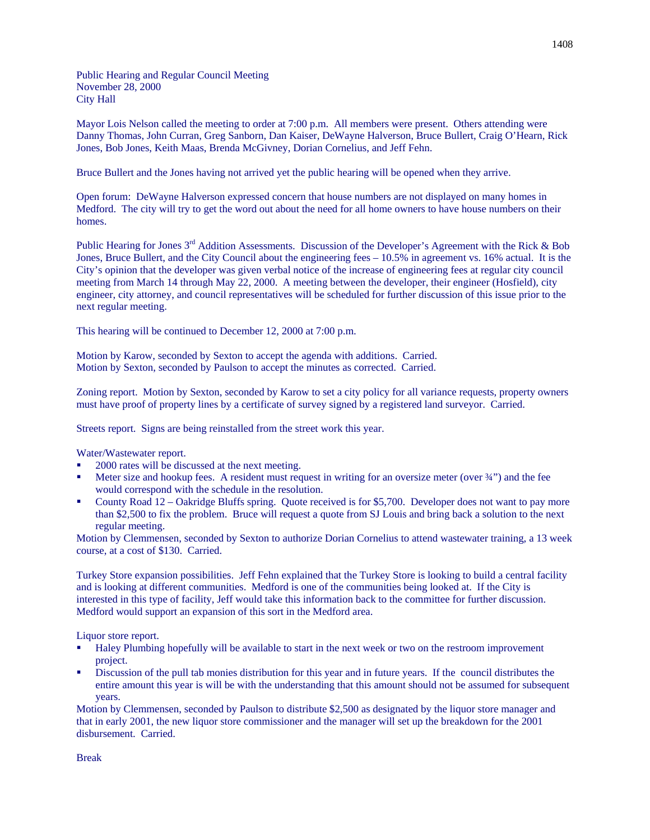Public Hearing and Regular Council Meeting November 28, 2000 City Hall

Mayor Lois Nelson called the meeting to order at 7:00 p.m. All members were present. Others attending were Danny Thomas, John Curran, Greg Sanborn, Dan Kaiser, DeWayne Halverson, Bruce Bullert, Craig O'Hearn, Rick Jones, Bob Jones, Keith Maas, Brenda McGivney, Dorian Cornelius, and Jeff Fehn.

Bruce Bullert and the Jones having not arrived yet the public hearing will be opened when they arrive.

Open forum: DeWayne Halverson expressed concern that house numbers are not displayed on many homes in Medford. The city will try to get the word out about the need for all home owners to have house numbers on their homes.

Public Hearing for Jones 3<sup>rd</sup> Addition Assessments. Discussion of the Developer's Agreement with the Rick & Bob Jones, Bruce Bullert, and the City Council about the engineering fees – 10.5% in agreement vs. 16% actual. It is the City's opinion that the developer was given verbal notice of the increase of engineering fees at regular city council meeting from March 14 through May 22, 2000. A meeting between the developer, their engineer (Hosfield), city engineer, city attorney, and council representatives will be scheduled for further discussion of this issue prior to the next regular meeting.

This hearing will be continued to December 12, 2000 at 7:00 p.m.

Motion by Karow, seconded by Sexton to accept the agenda with additions. Carried. Motion by Sexton, seconded by Paulson to accept the minutes as corrected. Carried.

Zoning report. Motion by Sexton, seconded by Karow to set a city policy for all variance requests, property owners must have proof of property lines by a certificate of survey signed by a registered land surveyor. Carried.

Streets report. Signs are being reinstalled from the street work this year.

Water/Wastewater report.

- 2000 rates will be discussed at the next meeting.
- Meter size and hookup fees. A resident must request in writing for an oversize meter (over  $\frac{3}{4}$ ) and the fee would correspond with the schedule in the resolution.
- County Road 12 Oakridge Bluffs spring. Quote received is for \$5,700. Developer does not want to pay more than \$2,500 to fix the problem. Bruce will request a quote from SJ Louis and bring back a solution to the next regular meeting.

Motion by Clemmensen, seconded by Sexton to authorize Dorian Cornelius to attend wastewater training, a 13 week course, at a cost of \$130. Carried.

Turkey Store expansion possibilities. Jeff Fehn explained that the Turkey Store is looking to build a central facility and is looking at different communities. Medford is one of the communities being looked at. If the City is interested in this type of facility, Jeff would take this information back to the committee for further discussion. Medford would support an expansion of this sort in the Medford area.

Liquor store report.

- Haley Plumbing hopefully will be available to start in the next week or two on the restroom improvement project.
- Discussion of the pull tab monies distribution for this year and in future years. If the council distributes the entire amount this year is will be with the understanding that this amount should not be assumed for subsequent years.

Motion by Clemmensen, seconded by Paulson to distribute \$2,500 as designated by the liquor store manager and that in early 2001, the new liquor store commissioner and the manager will set up the breakdown for the 2001 disbursement. Carried.

Break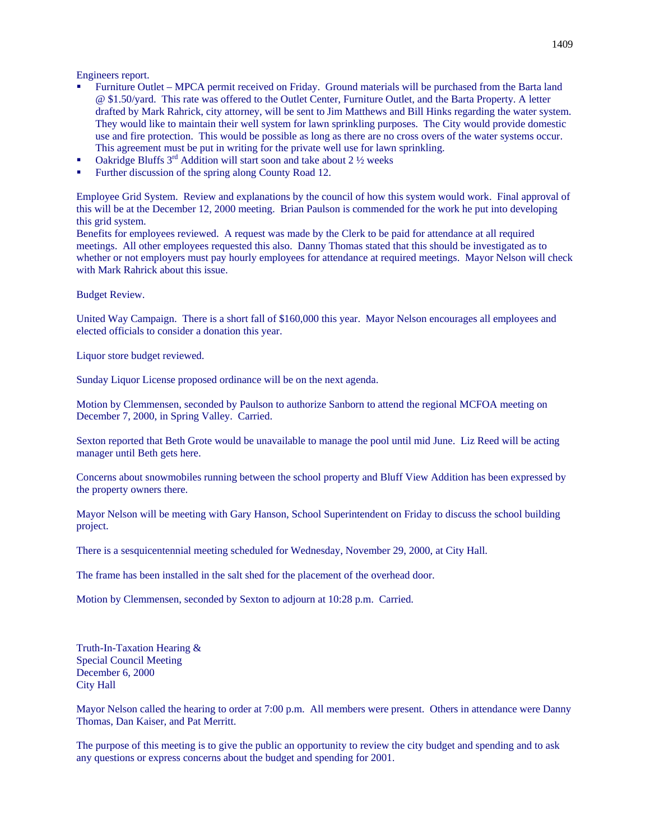Engineers report.

- Furniture Outlet MPCA permit received on Friday. Ground materials will be purchased from the Barta land @ \$1.50/yard. This rate was offered to the Outlet Center, Furniture Outlet, and the Barta Property. A letter drafted by Mark Rahrick, city attorney, will be sent to Jim Matthews and Bill Hinks regarding the water system. They would like to maintain their well system for lawn sprinkling purposes. The City would provide domestic use and fire protection. This would be possible as long as there are no cross overs of the water systems occur. This agreement must be put in writing for the private well use for lawn sprinkling.
- Oakridge Bluffs  $3<sup>rd</sup>$  Addition will start soon and take about 2  $\frac{1}{2}$  weeks
- Further discussion of the spring along County Road 12.

Employee Grid System. Review and explanations by the council of how this system would work. Final approval of this will be at the December 12, 2000 meeting. Brian Paulson is commended for the work he put into developing this grid system.

Benefits for employees reviewed. A request was made by the Clerk to be paid for attendance at all required meetings. All other employees requested this also. Danny Thomas stated that this should be investigated as to whether or not employers must pay hourly employees for attendance at required meetings. Mayor Nelson will check with Mark Rahrick about this issue.

Budget Review.

United Way Campaign. There is a short fall of \$160,000 this year. Mayor Nelson encourages all employees and elected officials to consider a donation this year.

Liquor store budget reviewed.

Sunday Liquor License proposed ordinance will be on the next agenda.

Motion by Clemmensen, seconded by Paulson to authorize Sanborn to attend the regional MCFOA meeting on December 7, 2000, in Spring Valley. Carried.

Sexton reported that Beth Grote would be unavailable to manage the pool until mid June. Liz Reed will be acting manager until Beth gets here.

Concerns about snowmobiles running between the school property and Bluff View Addition has been expressed by the property owners there.

Mayor Nelson will be meeting with Gary Hanson, School Superintendent on Friday to discuss the school building project.

There is a sesquicentennial meeting scheduled for Wednesday, November 29, 2000, at City Hall.

The frame has been installed in the salt shed for the placement of the overhead door.

Motion by Clemmensen, seconded by Sexton to adjourn at 10:28 p.m. Carried.

Truth-In-Taxation Hearing & Special Council Meeting December 6, 2000 City Hall

Mayor Nelson called the hearing to order at 7:00 p.m. All members were present. Others in attendance were Danny Thomas, Dan Kaiser, and Pat Merritt.

The purpose of this meeting is to give the public an opportunity to review the city budget and spending and to ask any questions or express concerns about the budget and spending for 2001.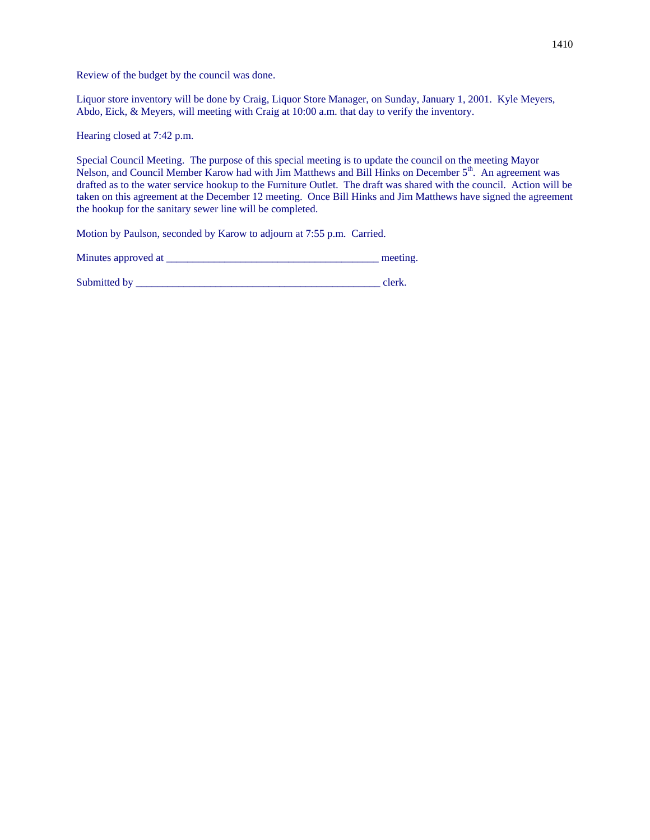Review of the budget by the council was done.

Liquor store inventory will be done by Craig, Liquor Store Manager, on Sunday, January 1, 2001. Kyle Meyers, Abdo, Eick, & Meyers, will meeting with Craig at 10:00 a.m. that day to verify the inventory.

Hearing closed at 7:42 p.m.

Special Council Meeting. The purpose of this special meeting is to update the council on the meeting Mayor Nelson, and Council Member Karow had with Jim Matthews and Bill Hinks on December 5<sup>th</sup>. An agreement was drafted as to the water service hookup to the Furniture Outlet. The draft was shared with the council. Action will be taken on this agreement at the December 12 meeting. Once Bill Hinks and Jim Matthews have signed the agreement the hookup for the sanitary sewer line will be completed.

Motion by Paulson, seconded by Karow to adjourn at 7:55 p.m. Carried.

| Minutes approved at | meeting. |
|---------------------|----------|
| Submitted by        | clerk.   |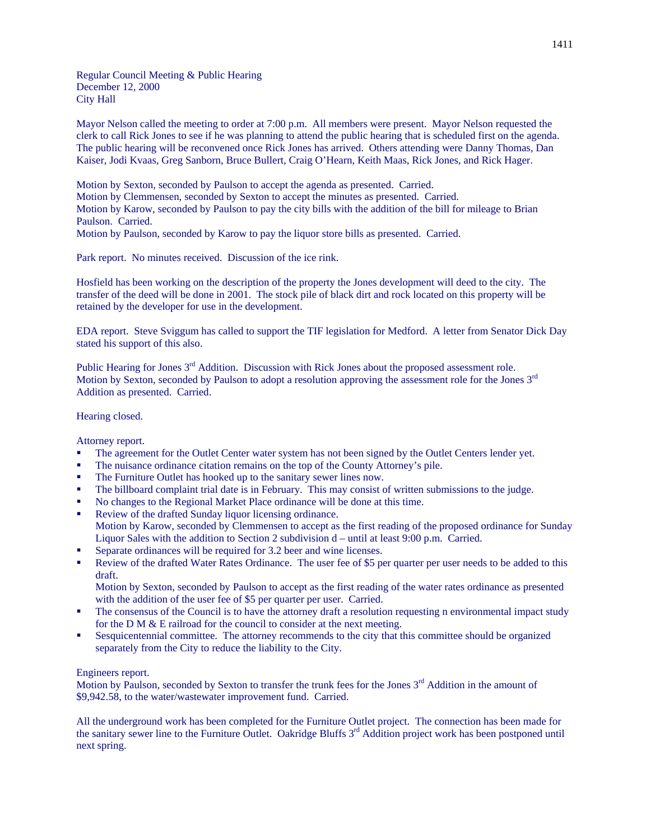Regular Council Meeting & Public Hearing December 12, 2000 City Hall

Mayor Nelson called the meeting to order at 7:00 p.m. All members were present. Mayor Nelson requested the clerk to call Rick Jones to see if he was planning to attend the public hearing that is scheduled first on the agenda. The public hearing will be reconvened once Rick Jones has arrived. Others attending were Danny Thomas, Dan Kaiser, Jodi Kvaas, Greg Sanborn, Bruce Bullert, Craig O'Hearn, Keith Maas, Rick Jones, and Rick Hager.

Motion by Sexton, seconded by Paulson to accept the agenda as presented. Carried.

Motion by Clemmensen, seconded by Sexton to accept the minutes as presented. Carried.

Motion by Karow, seconded by Paulson to pay the city bills with the addition of the bill for mileage to Brian Paulson. Carried.

Motion by Paulson, seconded by Karow to pay the liquor store bills as presented. Carried.

Park report. No minutes received. Discussion of the ice rink.

Hosfield has been working on the description of the property the Jones development will deed to the city. The transfer of the deed will be done in 2001. The stock pile of black dirt and rock located on this property will be retained by the developer for use in the development.

EDA report. Steve Sviggum has called to support the TIF legislation for Medford. A letter from Senator Dick Day stated his support of this also.

Public Hearing for Jones 3<sup>rd</sup> Addition. Discussion with Rick Jones about the proposed assessment role. Motion by Sexton, seconded by Paulson to adopt a resolution approving the assessment role for the Jones 3<sup>rd</sup> Addition as presented. Carried.

## Hearing closed.

Attorney report.

- The agreement for the Outlet Center water system has not been signed by the Outlet Centers lender yet.
- The nuisance ordinance citation remains on the top of the County Attorney's pile.
- The Furniture Outlet has hooked up to the sanitary sewer lines now.
- The billboard complaint trial date is in February. This may consist of written submissions to the judge.
- No changes to the Regional Market Place ordinance will be done at this time.
- Review of the drafted Sunday liquor licensing ordinance. Motion by Karow, seconded by Clemmensen to accept as the first reading of the proposed ordinance for Sunday Liquor Sales with the addition to Section 2 subdivision d – until at least 9:00 p.m. Carried.
- Separate ordinances will be required for 3.2 beer and wine licenses.
- Review of the drafted Water Rates Ordinance. The user fee of \$5 per quarter per user needs to be added to this draft.

Motion by Sexton, seconded by Paulson to accept as the first reading of the water rates ordinance as presented with the addition of the user fee of \$5 per quarter per user. Carried.

- The consensus of the Council is to have the attorney draft a resolution requesting n environmental impact study for the D M & E railroad for the council to consider at the next meeting.
- Sesquicentennial committee. The attorney recommends to the city that this committee should be organized separately from the City to reduce the liability to the City.

#### Engineers report.

Motion by Paulson, seconded by Sexton to transfer the trunk fees for the Jones  $3<sup>rd</sup>$  Addition in the amount of \$9,942.58, to the water/wastewater improvement fund. Carried.

All the underground work has been completed for the Furniture Outlet project. The connection has been made for the sanitary sewer line to the Furniture Outlet. Oakridge Bluffs 3<sup>rd</sup> Addition project work has been postponed until next spring.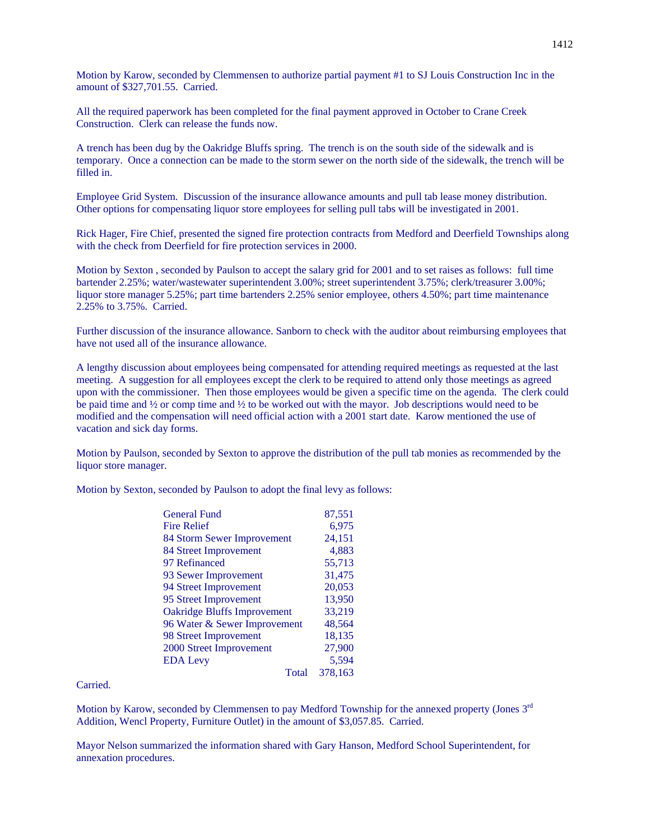Motion by Karow, seconded by Clemmensen to authorize partial payment #1 to SJ Louis Construction Inc in the amount of \$327,701.55. Carried.

All the required paperwork has been completed for the final payment approved in October to Crane Creek Construction. Clerk can release the funds now.

A trench has been dug by the Oakridge Bluffs spring. The trench is on the south side of the sidewalk and is temporary. Once a connection can be made to the storm sewer on the north side of the sidewalk, the trench will be filled in.

Employee Grid System. Discussion of the insurance allowance amounts and pull tab lease money distribution. Other options for compensating liquor store employees for selling pull tabs will be investigated in 2001.

Rick Hager, Fire Chief, presented the signed fire protection contracts from Medford and Deerfield Townships along with the check from Deerfield for fire protection services in 2000.

Motion by Sexton , seconded by Paulson to accept the salary grid for 2001 and to set raises as follows: full time bartender 2.25%; water/wastewater superintendent 3.00%; street superintendent 3.75%; clerk/treasurer 3.00%; liquor store manager 5.25%; part time bartenders 2.25% senior employee, others 4.50%; part time maintenance 2.25% to 3.75%. Carried.

Further discussion of the insurance allowance. Sanborn to check with the auditor about reimbursing employees that have not used all of the insurance allowance.

A lengthy discussion about employees being compensated for attending required meetings as requested at the last meeting. A suggestion for all employees except the clerk to be required to attend only those meetings as agreed upon with the commissioner. Then those employees would be given a specific time on the agenda. The clerk could be paid time and ½ or comp time and ½ to be worked out with the mayor. Job descriptions would need to be modified and the compensation will need official action with a 2001 start date. Karow mentioned the use of vacation and sick day forms.

Motion by Paulson, seconded by Sexton to approve the distribution of the pull tab monies as recommended by the liquor store manager.

Motion by Sexton, seconded by Paulson to adopt the final levy as follows:

| <b>General Fund</b>                | 87,551  |
|------------------------------------|---------|
| <b>Fire Relief</b>                 | 6,975   |
| 84 Storm Sewer Improvement         | 24,151  |
| 84 Street Improvement              | 4,883   |
| 97 Refinanced                      | 55,713  |
| 93 Sewer Improvement               | 31,475  |
| 94 Street Improvement              | 20,053  |
| 95 Street Improvement              | 13,950  |
| <b>Oakridge Bluffs Improvement</b> | 33,219  |
| 96 Water & Sewer Improvement       | 48,564  |
| 98 Street Improvement              | 18,135  |
| 2000 Street Improvement            | 27,900  |
| <b>EDA Levy</b>                    | 5.594   |
| Total                              | 378.163 |

Carried.

Motion by Karow, seconded by Clemmensen to pay Medford Township for the annexed property (Jones 3<sup>rd</sup> Addition, Wencl Property, Furniture Outlet) in the amount of \$3,057.85. Carried.

Mayor Nelson summarized the information shared with Gary Hanson, Medford School Superintendent, for annexation procedures.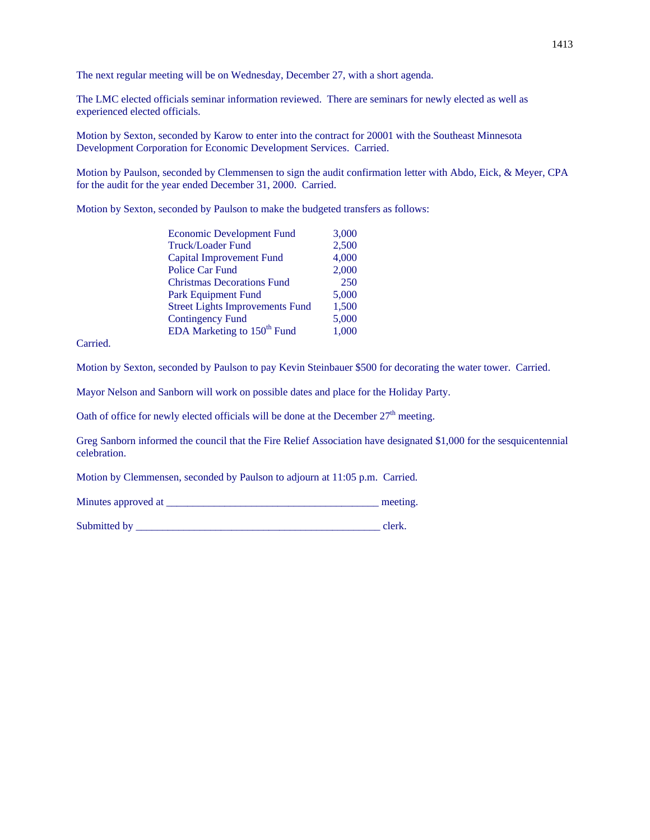The next regular meeting will be on Wednesday, December 27, with a short agenda.

The LMC elected officials seminar information reviewed. There are seminars for newly elected as well as experienced elected officials.

Motion by Sexton, seconded by Karow to enter into the contract for 20001 with the Southeast Minnesota Development Corporation for Economic Development Services. Carried.

Motion by Paulson, seconded by Clemmensen to sign the audit confirmation letter with Abdo, Eick, & Meyer, CPA for the audit for the year ended December 31, 2000. Carried.

Motion by Sexton, seconded by Paulson to make the budgeted transfers as follows:

| 2,500<br>Truck/Loader Fund<br>4,000<br><b>Capital Improvement Fund</b> | 3,000 |
|------------------------------------------------------------------------|-------|
|                                                                        |       |
|                                                                        |       |
| 2,000<br><b>Police Car Fund</b>                                        |       |
| 250<br><b>Christmas Decorations Fund</b>                               |       |
| 5,000<br><b>Park Equipment Fund</b>                                    |       |
| 1,500<br><b>Street Lights Improvements Fund</b>                        |       |
| 5,000<br><b>Contingency Fund</b>                                       |       |
| EDA Marketing to 150 <sup>th</sup> Fund<br>1,000                       |       |

Carried.

Motion by Sexton, seconded by Paulson to pay Kevin Steinbauer \$500 for decorating the water tower. Carried.

Mayor Nelson and Sanborn will work on possible dates and place for the Holiday Party.

Oath of office for newly elected officials will be done at the December  $27<sup>th</sup>$  meeting.

Greg Sanborn informed the council that the Fire Relief Association have designated \$1,000 for the sesquicentennial celebration.

Motion by Clemmensen, seconded by Paulson to adjourn at 11:05 p.m. Carried.

Minutes approved at \_\_\_\_\_\_\_\_\_\_\_\_\_\_\_\_\_\_\_\_\_\_\_\_\_\_\_\_\_\_\_\_\_\_\_\_\_\_\_\_ meeting.

Submitted by \_\_\_\_\_\_\_\_\_\_\_\_\_\_\_\_\_\_\_\_\_\_\_\_\_\_\_\_\_\_\_\_\_\_\_\_\_\_\_\_\_\_\_\_\_\_ clerk.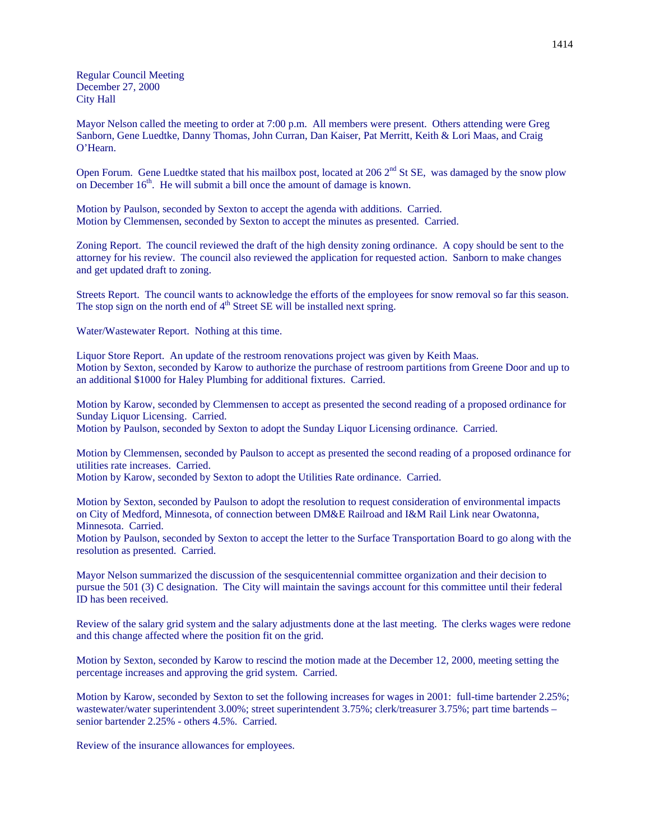Regular Council Meeting December 27, 2000 City Hall

Mayor Nelson called the meeting to order at 7:00 p.m. All members were present. Others attending were Greg Sanborn, Gene Luedtke, Danny Thomas, John Curran, Dan Kaiser, Pat Merritt, Keith & Lori Maas, and Craig O'Hearn.

Open Forum. Gene Luedtke stated that his mailbox post, located at 206 2<sup>nd</sup> St SE, was damaged by the snow plow on December  $16<sup>th</sup>$ . He will submit a bill once the amount of damage is known.

Motion by Paulson, seconded by Sexton to accept the agenda with additions. Carried. Motion by Clemmensen, seconded by Sexton to accept the minutes as presented. Carried.

Zoning Report. The council reviewed the draft of the high density zoning ordinance. A copy should be sent to the attorney for his review. The council also reviewed the application for requested action. Sanborn to make changes and get updated draft to zoning.

Streets Report. The council wants to acknowledge the efforts of the employees for snow removal so far this season. The stop sign on the north end of  $4<sup>th</sup>$  Street SE will be installed next spring.

Water/Wastewater Report. Nothing at this time.

Liquor Store Report. An update of the restroom renovations project was given by Keith Maas. Motion by Sexton, seconded by Karow to authorize the purchase of restroom partitions from Greene Door and up to an additional \$1000 for Haley Plumbing for additional fixtures. Carried.

Motion by Karow, seconded by Clemmensen to accept as presented the second reading of a proposed ordinance for Sunday Liquor Licensing. Carried. Motion by Paulson, seconded by Sexton to adopt the Sunday Liquor Licensing ordinance. Carried.

Motion by Clemmensen, seconded by Paulson to accept as presented the second reading of a proposed ordinance for utilities rate increases. Carried.

Motion by Karow, seconded by Sexton to adopt the Utilities Rate ordinance. Carried.

Motion by Sexton, seconded by Paulson to adopt the resolution to request consideration of environmental impacts on City of Medford, Minnesota, of connection between DM&E Railroad and I&M Rail Link near Owatonna, Minnesota. Carried.

Motion by Paulson, seconded by Sexton to accept the letter to the Surface Transportation Board to go along with the resolution as presented. Carried.

Mayor Nelson summarized the discussion of the sesquicentennial committee organization and their decision to pursue the 501 (3) C designation. The City will maintain the savings account for this committee until their federal ID has been received.

Review of the salary grid system and the salary adjustments done at the last meeting. The clerks wages were redone and this change affected where the position fit on the grid.

Motion by Sexton, seconded by Karow to rescind the motion made at the December 12, 2000, meeting setting the percentage increases and approving the grid system. Carried.

Motion by Karow, seconded by Sexton to set the following increases for wages in 2001: full-time bartender 2.25%; wastewater/water superintendent 3.00%; street superintendent 3.75%; clerk/treasurer 3.75%; part time bartends – senior bartender 2.25% - others 4.5%. Carried.

Review of the insurance allowances for employees.